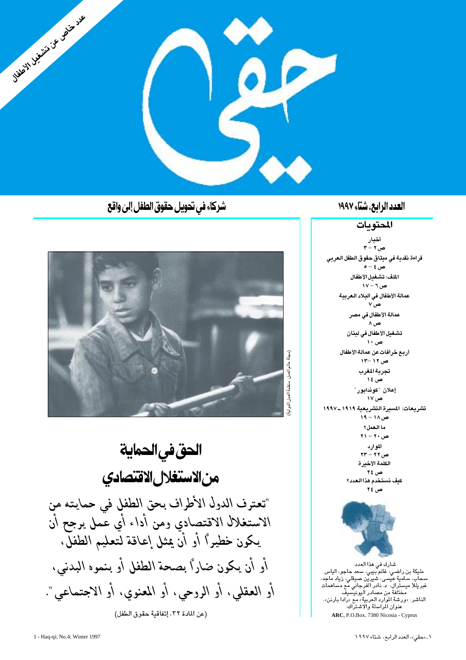

#### العدد الرابع، شتاء ١٩٩٧

#### المحتويات

أخبار  $\mathbf{r} - \mathbf{v}$ ص قراءة نقدية في ميثاق حقوق الطفل العربي ص ٤ – ٥ الملف: تشغىل الأطفال  $V - T$ ص عمالة الأطفال في البلاد العربية  $v_{\omega}$ عمالة الأطفال في مصر ص ۸ تشغيل الأطفال في لبنان ص ۱۰ أربع خرافات عن عمالة الأطفال  $\sqrt{1 - 17}$ ص تجربة المغرب ص ١٤ إعلان "كوندابور " ص ۱۷ تشريعات: المسيرة التشريعية ١٩١٩ ـ١٩٩٧  $M = M - P$ ما العمل؟  $YY - Y$ ۰ ص الموارد  $XY - YY - 2Y$ الكلمة الأخيرة ص ۲٤ كنف نستخدم هذا العدد؟ ص ٢٤

شارك في هذا العدد: مليكة بن راضي، غانم بيبي، سعد حاجو، الياس .<br>مختلفة من مصادر اليونيسيف الناشر: «ورشة الموارد العربية» مع «رادا بارنن». ۔<br>عنوان الراسلة والاشتراك: ARC, P.O.Box. 7380 Nicosia - Cyprus

شركاء في تحويل حقوق الطفل إلىٰ واقع



الحق في الحماية من الاستغلال الاقتصادي "تعترف الدول الأطراف بحق الطفل في حمايته من الاستغلال الاقتصادي ومن أداء أي عْمل يرجح أن يكون خطيرًا أو أن يمثل إعاقة لتعليم الطفلَّ، أو أن يكون ضارًا بصحة الطفل أو بنموه البدنى، أو العقلى، أو الروحي، أو المعنوي، أو الاجتماعي". (عن المادة ٣٢، إتفاقية حقوق الطفل)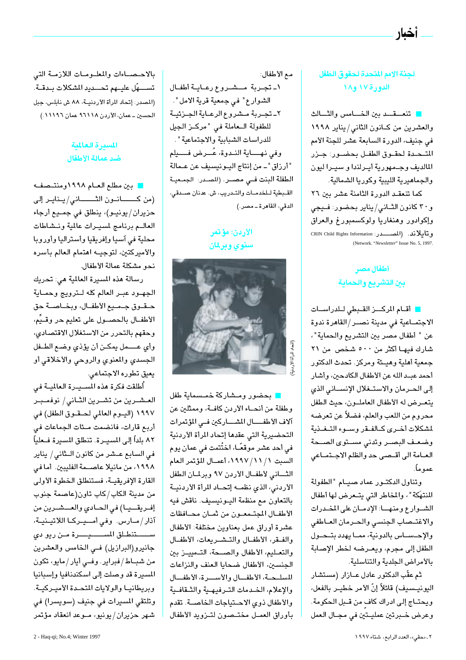#### لجنة الامم المتحدة لحقوق الطفل الدورة ١٧ و١٨

أخبار

تنعسقــد بين الخـــامس والشــالث والعشرين من كـانون الثاني/يناير ١٩٩٨ في جنيف، الدورة السابعة عشر للجنة الأمم المتحدة لحقوق الطفل بحضور: جزر المالديف وجمهورية أيرلندا وسيرا ليون والجماهيرية الليبية وكوريا الشمالية.

كما تنعقد الدورة الثامنة عشر بين ٢٦ و٣٠ كانون الثـانى / يناير بحضور: فـيجى وإكوادور وهنغاريا ولوكسمبورغ والعراق وتايلاند. (المصــــــدر: CRIN Child Rights Information (Network. "Newsletter" Issue No. 5, 1997.

#### أطفال مصر بين التشريع والحماية

ات أقام المركس القبطى للدراسات الاجتمـاعية في مدينة نصــر/القاهرة ندوة عن " أطفال مصر بين التشريع والحماية "، شارك فيهـا أكثر من ٥٠٠ شخص من ٢١ جمعية أهلية وهيئة ومركز. تحدث الدكتور أحمد عبد الله عن الأطفال الكادحين، وأشار إلى الحرمان والاستغلال الإنساني الذي يتعرض له الأطفال العاملون، حيث الطفل محروم من اللعب والعلم، فضلاً عن تعرضه لمشكلات أخرى كالفقر وسوء التغذية وضعف البصر وتدنى مستوى الصحة العــامة الى أقــصـى حد والظلم الاجــتمــاعي عمو ماً.

وتناول الدكتور عماد صيام "الطفولة المنتهَكة "، والمخاطر التي يتعرض لها أطفال الشوارع ومنها: الإدمان على المخدرات والاغتصاب الجنسى والحرمان العاطفى والإحساس بالدونية، مما يهدد بتحول الطفل إلى مجرم، ويعـرضه لخطر الإصابة بالأمراض الجلدية والتناسلية.

ثم عقّب الدكتور عادل عــازار (مستشار اليونيــسـيف) قائلاً إنّ الأمر خطيــر بالفعل، ويحتـاج إلى ادراك كاف من قـبل الحكومة. وعرض خبرتين عمليتين في مجـال العمل

مع الأطفال:

١ـ تجربة مسشروع رعاية أطفال الشوارع" في جمعية قرية الأمل". ٢ـ تجـربة مـشروع الرعـاية الجـزئيـة للطفولة العاملة في "مركـز الجيل للدراسات الشبابية والاجتماعية". وفي نهــاية النـدوة، عُــرض فـــيلم "أرزاق" ــ من إنتاج اليــونيسيف عن عــمالة الطفلة البنت فــى مصــر. (المــدر: الجمـعيـة القبطية للخدمات والتدريب، ش. عدنان صدقي، الدقى، القاهرة ــ مصر.)

#### الأردن: مؤتمر سنوي وبرلمان



ا بحضور ومشاركة خمسماية طفل وطفلة من أنحاء الأردن كافة، وممثلين عن آلاف الأطفـــال المشـــاركين فــى المؤتمرات التحضيرية التى عقدها إتحاد المرأة الأردنية في أحد عشر موقعًــا، اختُتمت في عمان پوم السبت ١٩٩٧/١٩٩٧، أعمـال المؤتمر العام الثاني لأطفال الأردن ٩٧ وبرلمان الطفل الأردني، الذي نظمـه إتحـاد المرأة الأردنيـة بالتعاون مع منظمة اليونيسيف. ناقش فيه الأطفال المجتمعون من ثمان محافظات عشرة أوراق عمل بعناوين مختلفة: الأطفال والفقر، الأطفال والتشريعات، الأطفال والتعـليم، الأطفال والصـحة، التـمييـز بين الجنسين، الأطفال ضحايا العنف والنزاعات المسلحة، الأطفال والأسرة، الأطفال والإعلام، الخدمات الترفيهية والثقافية والأطفال ذوي الاحتياجات الخاصــة. تقدم بأوراق العمل مختصون لتزويد الأطفال

بالاحصاءات والمعلومات اللازمة التى تســــهّل عليــهم تحـــديد المشكلات بــدقــة. (المصدر: إتحاد المرأة الأردنيــة، ٨٨ ش نابلس، جبل الحسين ـ عمان، الأردن ٩٦١١٨ عمان ١١١٩٦.)

#### المسترة العالمية ضد عمالة الأطفال

ه بين مطلع العــام ١٩٩٨ومنتــصفــه (من كــــــانــون الثــــــــانى/يــنايــر إلى حزيران/يونيـو)، ينطلق في جمـيع أرجاء العالم برنامج لمسيرات عالمية ونشاطات محلية في آسيا وإفريقيا وأستراليا وأوروبا والأميركتين، لتوجيــه اهتمام العالم بأسره نحو مشكلة عمالة الأطفال.

رسالة هذه المسيرة العالمية هي: تحريك الجهود عبىر العالم كله لترويج وحمـاية حقوق جميع الأطفال، وبخاصة حق الأطفــال بالـحصــول على تعليم حر وقــيِّم، وحقهم بالتحرر من الاستغلال الاقتصادى، وأي عـمل يمكن أن يؤذي وضع الطـفل الجسدي والمعنوي والروحي والأخلاقي أو يعيق تطوره الاجتماعى.

أُطلقت فكرة هذه المســيـرة العالميــة فى العشـرين من تشـرين الثـانى/ نوفمـبـر ١٩٩٧ (اليــوم العالمي لحــقــوق الطفل) في أربع قارات، فانضمت مـئات الجماعات في ٨٢ بلداً إلى المسيـرة. تنطلق المسيرة فـعلياً في السابع عـشر من كانون الـثاني/ يناير ١٩٩٨، من مانيلا عاصـمة الفليبين. أما في القارة الإفريقيـة، فستنطلق الخطوة الأولى من مدينة الكاب/كاب تاون(عاصمة جنوب إفريقيا) في الحادي والعشرين من آذار/مارس. وفي أميدركا اللاتينية، ســـــتنطلق المســــــيـــــرة مـن ريو دي جانيرو(البرازيل) في الخامس والعشرين من شباط/فبراير. وفي أيار/مايو، تكون المسيرة قد وصلت إلى اسكندنافيا وإسبانيا وبريطانيا والولايات المتحدة الأميركية. وتلتقي المسيرات في جنيف (سويسرا) في شهر حزيران/يونيو، مـوعد انعقاد مؤتمر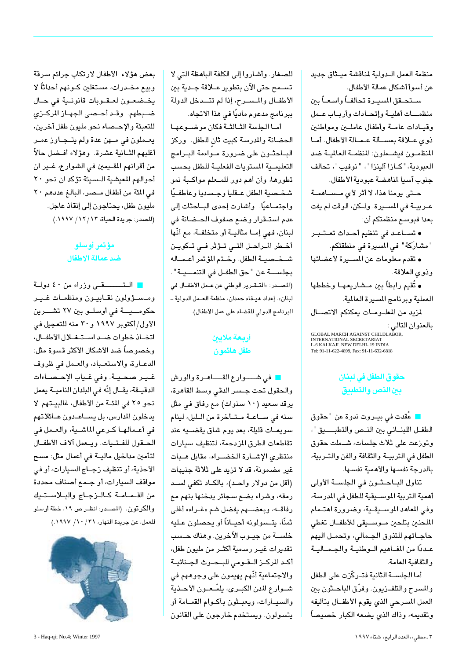منظمة العمل اللدولية لمناقشة ميثاق جديد عن أسوأ أشكال عمالة الأطفال.

سـتحـقق المسيـرة تحالفـاً واسعـاً بين منظمــات أهليـة وإتحـادات وأربـاب عـمل وقيادات عامة وأطفال عاملين ومواطنين ذوى علاقة بمسألة عمالة الأطفال. أما المنظمون فيشهلون: المنظمة العالمية ضد العبودية، "كازا آلينزا"، "نوفيب"، تحالف جنوب آسيا لمناهضة عبودية الأطفال.

حـتی پومنا هذا، لا أثر لأی مـســاهمــة عربيـة في المسـيرة. ولـكن، الوقت لم يفت بعد! فبوسع منظمتكم أن:

• تسـاعـد في تنظيم أحـداث تعـتـبـر " مشارَكة " في المسيرة في منطقتكم.

• تقدم معلومات عن المسـيرة لأعضائها وذوى العلاقة.

• تُقيم رابطاً بين مــشاريعهـا وخططها العملية وبرنامج المسيرة العالمية.

لمزيد من المعلومات يمكنكم الاتصال بالعنوان التالي : ي<br>INTERNATIONAL SECRETARIAT<br>L-6 KALKAJI. NEW DELHI- 19 INDIA<br>Tel: 91-11-622-4899, Fax: 91-11-632-6818

#### حقوق الطفل في لبنان ببن النص والتطبيق

■ عُقّدت في بيــروت ندوة عن "حقوق الطفـل اللبنـاني بين النـص والتطبــــيق"، وتوزعت على ثلاث جلسات، شــملت حقوق الطفل في التربيـة والثقافة والفن والتـربية، بالدرجة نفسها والأهمية نفسها.

تناول البـاحـثون فى الجلسـة الأولى أهمية التربية الموسـيقية للطفل في المدرسة، وفي المعاهد الموسـيقـية، وضرورة اهتـمام الملحنين بتلحين موسيقى للأطفال تغطى حاجاتهم للتذوق الجمالى، وتحمل اليهم عـددًا من المفــاهيم الــوطنيــة والجــمــاليــة والثقافية العامة.

أما الجلســة الثانية فتــركّزت على الطفل والمسرح والتلفـزيون. وفرّق الباحـثون بين العمل المسرحى الذى يقوم الأطفــال بتأليفه وتقديمه، وذاك الذي يضعه الكبار خصيصاً

للصغار. وأشاروا إلى الكلفة الباهظة التي لا تســمح حتى الآن بتطوير عــلاقة جــدية بين الأطفـال والمسـرح، إذا لم تتــدخل الدولة ببرنامج مدعوم ماديًا في هذا الاتجاه.

أما الجلسة الثالثة فكان موضوعها الحضانة والمدرسة كبيت ثان للطفل. وركز الباحثون على ضرورة مواءمة البرامج التعليمـية المستويات الفعليـة للطفل بحسب تطورها، وأن أهم دور للمـعلم مواكـبة نمو شخصية الطفل علقليا وجسديا وعاطفيًا واجتمـاعيًا. وأشارت إحدى البـاحثات إلى عدم استـقرار وضع صفوف الحـضانة في لبنان، فهي إمـا مثاليـة أو متخلفـة، مع أنّها أخطر المراحل التى تؤثر فى تكوين شخصية الطفل. وختم المؤتمر أعماله بجلســـة عن "حق الطفــل في التنمـــيـة". (المصدر: «التـقـرير الوطني عن عـمل الأطفــال في لبنان». إعداد هيـغاء حمدان، منظمة العـمل الدولية ـ البرنامج الدولى للقضاء على عمل الأطفال).

#### أربعة ملايين طفل هائمون

المن في شهرار ع القهاهرة والورش والحقول تحت جسر الدقى وسط القاهرة، یرقد سعید (۱۰ سنوات) مع رفاق فی مثل سنه في سـاعـة مـتـأخرة من الـليل، لينام سويعـات قليلة، بعد يوم شاق يقضــيه عند تقاطعات الطرق الزدحمة، لتنظيف سيارات منتظرى الإشارة الخضراء، مقابل هبات غير مضمونة، قد لا تزيد على ثلاثة جنيهات (أقل من دولار واحـد)، بالكـاد تكفى لسـد رمقه، وشراء بضع سجائر يدخنها بنهم مع رفاقــــه، وبعضـــهم يفضل شم «غــراء» أغلى ثمنًا، يتـسولونه أحيـاناً أو يحصلون عـليه خلســة من جيــوب الآخرين. وهناك حــسب تقديرات غيــر رسمية أكثــر من مليون طفل، أكد المركـز الـقــومى للبــحــوث الجـنائيــة والاجتماعية أنَّهم يهيمون على وجوههم في شـوارع المدن الكبـرى، يلمّـعـون الأحـذية والسيارات، ويعبشون بأكوام القمامة أو يتسولون. ويستخدم خارجون على القانون

بعض هؤلاء الأطفال لارتكاب جرائم سرقة وبيع مخــدرات، مستغلين كــونهم أحداثاً لا يخضعون لعقوبات قانونية في حال ضبطهم. وقد أحصى الجهاز المركزي للتعبئة والإحصاء نحو مليون طفل آخرين، يعـملون في مــهن عدة ولم يتــجـاوز عمـر أغلبهم الثــانية عشرة. وهؤلاء أفــضل حالاً من أقرانهم المقيمين في الشوارع، غير ان أحوالهم المعيشية الـسيئة تؤكد ان نحو ٢٠ في المئة من أطفال مصر، البالغ عددهم ٢٠ مليون طفل، يحتاجون إلى إنقاذ عاجل. (المصدر: جريدة الحياة، ١٢/١٢/ ١٩٩٧.)

#### مؤتمر أوسلو ضد عمالة الإطفال

التــــقى وزراء من ٤٠ دولة ومسئولون نقابيون ومنظمات غير حكومــيــة في أوسلــو بين ٢٧ تشـــرين الأول/أكتوبر ١٩٩٧ و٣٠ منه للتعجيل في اتخاذ خطوات ضد استغلال الأطفال، وخصوصاً ضد الأشكال الأكثر قسوة مثل: الدعارة، والاستعباد، والعمل في ظروف غير صحية. وفي غياب الإحصاءات الدقيقة، يقال إنّه في البلدان النامية يعمل نحو ٢٥ في المئة من الأطفال، غالبيتهم لا يدخلون المدارس، بل يســاعـدون عـائلاتهم في أعـمالهـا كـرعى الماشـية، والعـمل في الحقول للفتيات. ويعمل آلاف الأطفال لتأمين مداخيل ماليـة في أعمال مثل: مسح الأحذية، أو تنظيف زجـاج السيارات، أو في مواقف السيارات، أو جمع أصناف محددة من القمامة كالزجاج والبلاستيك والكرتون. (المصدر: انظر ص ١٩، خطة أوسلو للعمل، عن جريدة النهار، ٢١/ ١٩٩٧.)

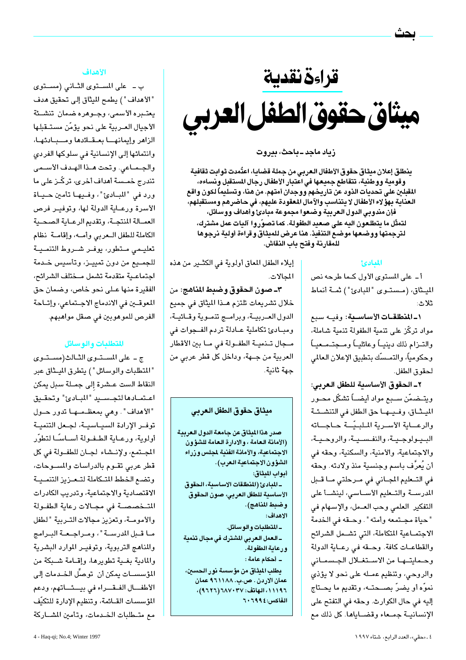قراءة نقدية ميثاق حقوق الطفل العربي

#### زیاد ماجد ـ باحث، بیروت

ينطلق إعلان ميثاق حقوق الأطفال العربي من جملة قضايا، اعتُمدت ثوابت ثقافية وقومية ووطنية، تتقاطع جميعها في اعتبار الأطفال رجال المستقبل ونساءه، المقبلين على تحديات الذود عن تاريخهم ووجدان أمتهم. من هنا، وتسليماً لكون واقع العناية بهؤ لاء الأطفال لا يتناسب والآمال المعقودة عليهم، في حاضرهم ومستقبلهم، فإن مندوبي الدول العربية وضعوا مجموعة مبادئ وأهداف ووسائل، لتمثّل ما يتطلعون اليه على صعيد الطفولة. كما تصوّروا آليات عمل مشترك، لترجمتها ووضعها موضع التنفيذ. هنا عرض للميثاق وقراءة أولية نرجوها للمقارنة وفتح باب النقاش.

#### المعادئ

أ ـ على المستوى الأول كـما طرحه نص الميثاق، (مستوى "المبادئ") ثمـة أنماط ثلاث:

١-المنطلقات الأساسية: وفيه سبع مواد تركّز على تنمية الطفولة تنمية شاملة، والتــزام ذلك دينيــاً وعائليــاً ومــجتــمــعيــاً وحكومياً، والتمـسّك بتطبيق الإعلان العالمي لحقوق الطفل.

٢ـ الحقوق الأساسية للطفل العربي: ويتـضمّن ســبع مواد أيضـــاً تشكّل محــور الميشاق، وفيها حق الطفل في التنشـئـة والرعساية الأسررية الملبيّسة حباجساته البـيـولوجـيـة، والنفـسـيـة، والروحـيـة، والاجتماعية، والأمنية، والسكنية، وحقه في أن يُعرَّف باسم وجنسية منذ ولادته. وحقه في التعليم المجاني في مرحلتي مـا قـبل المدرسـة والتـعليم الأسـاسى، لينشـأ على التفكير العلمي وحب العـمل، والإسـهام في "حياة مجتمعه وأمته". وحقه في الخدمة الاجتمـاعية المتكاملة، التي تشــمل الشرائح والقطاعـات كافة. وحـقه في رعـاية الدولة وحمايتها من الاستغلال الجسمانى والروحي، وتنظيم عمـله على نحو لا يؤذى نموّه أو يضرّ بصــحتــه، وتقديم ما يحــتاج إليه في حال الكوارث. وحقه في التفتح على الإنسانيـة جمـعاء وقضـاياها. كل ذلك مع

إيلاء الطفل المعاق أولوية في الكثـير من هذه المحالات.

٣ـ صون الحقوق وضبط المناهج: من خلال تشريعات تلتزم هــذا الميثاق في جميع الدول العـربيـة، وبرامـج تنمـوية وقـائيـة، ومبادئ تكاملية عـادلة تردم الفـجوات في مـجال تــنميــة الطفــولة في مــا بين الأقطار العربية من جهة، وداخل كل قطر عربي من جهة ثانية.

#### ميثاق حقوق الطفل العربى

صدر هذا الميثاق عن جامعة الدول العربية (الأمانة العامة ، والإدارة العامة للشؤون الاجتماعية، والأمانة الفنية لمجلس وزراء الشؤون الاجتماعية العرب). أبواب الميثاق: ـ المبادئ (المنطلقات الاساسية، الحقوق

الأساسية للطفل العربى، صون الحقوق وضبط المناهج).

الاهداف:

ـ المتطلبات والوسائل.

\_العمل العربي المشترك في مجال تنمية ورعاية الطفولة.

ـ أحكام عامة :

يطلب الميثاق من مؤسسة نور الحسين، عمان الاردن . ص.ب. ١٨٨ ٩٦١١٨١ عمان ١١١٩٦، الهاتف: ١١٧٠٣٧/ ٢٦٢٦)، الفاكس: ٢٠٦٩٩:

#### الأهداف

ب - على المستوى الثانى (مستوى "الأهداف" ) يطمح الميثاق إلى تحقيق هدف يعتــبره الأسمى، وجــوهره ضمان تنشــئة الأجيال العـربية على نحو يؤمّن مستـقبلها الزاهر وإيمانها بعقائدها ومبادئها، وانتمائها إلى الإنسانية في سلوكها الفردي والجـمـاعى. وتحت هـذا الهـدف الأسـمى تندرج خمــسة أهداف أخرى، تركّــز على ما ورد في "المبادئ"، وفيها تأمين حياة الأسرة ورعـاية الدولة لها، وتوفيـر فرص العمـالة المنتجـة، وتقديم الرعـاية الصحـية الكاملة للطفل المعربي وأمه، وإقامية نظام تعليمى متطور، يوفـر شـروط التنمـيـة للجمــيع من دون تمييــز، وتأسـيس خــدمة اجتماعية متقدمة تشمل مختلف الشرائح، الفقيرة منها عـلى نحو خاص، وضمان حق المعوقين في الاندماج الاجتماعي، وإتاحة الفرص للموهوبين في صنقل مواهبهم.

#### المتطلبات والوسائل

ج - على المستوى الثالث(مستوى " المتطلبات والوسائل " ) يتطرق الميثاق عبر النقاط الست عـشرة إلى جمـلة سبل يمكن اعتمادها لتجسيد "المبادئ" وتحقيق "الأهداف". وهي بمعظـمـهـا تدور حـول توفـر الإرادة السيـاسيـة، لجـعل التنميـة أولوية، ورعـاية الطـفـولة أســاسـًـا لتطوّر المجتمع، ولإنتشاء لجان للطفولة في كل قطر عربى تقــوم بالدراسات والمســوحات، وتضع الخطط المتكاملة لتحزيز التنميية الاقتصادية والاجتماعية، وتدريب الكادرات المتخصصة في مجالات رعاية الطفولة والأمومــة، وتعزيز مجالات التـربية "لطفل ما قبل المدرسة"، ومراجعة البرامج والمناهج التربوية، وتوفير الموارد البشرية والمادية بغية تطويرها، وإقامة شبكة من المؤسســات يمكن أن توصلِّ الخــدمات إلى الأطفال الفقراء في بيثاتهم، ودعم المؤسسات القـائمة، وتنظيم الإدارة للتكيّف مع متـطلبات الخـدمات، وتأمين المشــاركة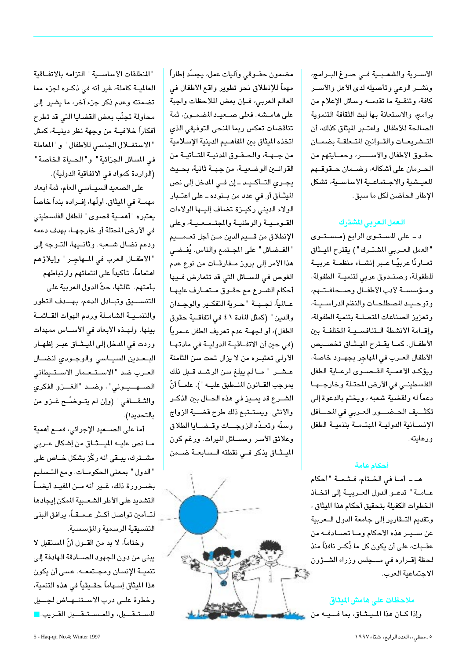الأسـرية والشعـبـية فـي صوغ البـرامج، ونشـر الوعى وتأصيله لدى الأهل والأسـر كافة، وتنقـية ما تقدمــه وسائل الإعلام من برامج، والاستعانة بها لبث الثقافة التنموية الصالحة للأطفال. واعتـبر الميثاق كذلك، أن التشريعات والقوانين المتعلقة بضمان حقــوق الأطفال والأســــــر، وحمــايتهم من الحـرمان على أشكاله، وضـمان حـقوقـهم المعيشية والاجتماعية الأساسية، تشكل الإطار الحاضن لكل ما سبق.

#### العمل العربي المشترك

د ـ على المستوى الرابع (مستوى "العمل العـربي المشتـرك " ) يقترح الميـثاق تعـاونًا عربيًـا عـبر إنشــاء منظمـة عربيـة للطفولة، وصنـدوق عربي لتنميـة الطفولة، ومؤسسة لأدب الأطفال وصحافتهم، وتوحيد المصطلحات والنظم الدراسية، وتعزيز الصناعات المتصلة بتنمية الطفولة، وإقامة الأنشطة التنافسية المختلفة بين الأطفـال. كمـا يقـترح الميـثـاق تخصـيص الأطفال العـرب فى المهاجر بجهـود خاصة، ويؤكد الأهمية القصوى لرعاية الطفل الفلسطيني في الأرض المحتلة وخارجها دعماً له ولقضية شعبه ، ويختم بالدعوة إلى تكثييف الحضيور العربي في المحافل الإنسانية الدولية المهتمة بتنمية الطفل ورعايته.

#### أحكام عامة

هـ ـ أمـا في الخـتام، فـثـمـة "أحكام عـامـة" تدعـو الدول العـربيـة إلى اتخـاذ الخطوات الكفيلة بتحقيق أحكام هذا الميثاق ، وتقديم التهارير إلى جامعة الدول السعربية عن سـيـر هذه الأحكام ومـا تصـادفـه من عقــبات، على أن يكون كل ما ذُكـر نافذاً منذ لحظة إقـراره فى مــجلس وزراء الشـؤون الاجتماعية العرب.

ملاحظات على هامش المثاق وإذا كـان هذا الميـثـاق، بما فــيـه من مستعلق

مضمون حقــوقى وآليات عمل، يجسّد إطاراً مهماً للإنطلاق نحو تطوير واقع الأطفال في العالم العربي، فإن بعض الملاحظات واجبة على هامـشه. فعلى صـعيـد المضمـون، ثمة تناقضات تعكس ربما المنحى التوفيقي الذي اتخذه الميثاق بين المفاهليم الدينية الإسلامية من جهة، والحقوق المدنية المتأتية من القوانين الوضعيـة، من جهـة ثانية، بحـيث يجري التأكيد-إن في المدخل إلى نص الميثـاق أو في عدد من بـنوده ـ على اعتـبار الولاء الدينى ركيزة تضاف إليها الولاءات القـومـيـة والوطنيـة والمجتـمـعـيـة، وعلى الإنطلاق من قسيم الدين مـن أجل تعـمــيم " الفـضائل " على المجـتمع والناس. يُفـضـى هذا الأمر إلى بروز مــفارقــات من نوع عدم الغوص في المسائل التي قد تتعارض فيها أحكام الشـرع مع حقـوق مـتعـارف عليهـا عـالمياً، لجـهــة "حـرية التفكــير والوجـدان والدين " (كمثل المادة ٤١ في اتفاقـية حقوق الطفل)، أو لجهــة عدم تعريف الطفل عــمرياً (في حين أن الاتفاقية الدولية في مادتها الأولى تعتبـره من لا يزال تحت سن الثامنة عشـر " مـالم يبلغ سن الرشـد قـبل ذلك بموجب القــانون المنــطبق عليــه " ). علمــاً أنّ الشــرع قد يمــيز في هذه الحــال بين الذكــر والأنثى. ويستتبع ذلك طرح قضـية الزواج وسنّه وتعبّد الزوجات وقضايا الطلاق وعلائق الأسر ومسائل الميراث. ورغم كون الميشاق يذكر فى نقطته السابعة ضمن



"المنطلقات الأساسية" التزامه بالاتفاقية العالمية كاملة، غير أنه في ذكـره لجزء مما تضمنته وعدم ذكر جزء آخر، ما يشير إلى محاولة تجنّب بعض القضايا التي قد تطرح أفكاراً خلافيــة من وجهة نظر دينيــة، كمثل "الاستغلال الجنسى للأطفال" و"المعاملة في المسائل الجزائية " و "الحـياة الخاصة " (الواردة كمواد في الاتفاقية الدولية).

على الصعيد السيـاسى العام، ثمة أبعاد مهمــة في الميثاق. أولّها، إفــراده بنداً خاصاً يعتبره "أهمــية قصوى" للطفل الفلسطيني في الأرض المحتلة أو خارجهـا، بهدف دعمه ودعم نضال شـعبه. وثانـيها، التـوجه إلى "الأطفال العرب في المهاجر" وإيلاؤهم اهتماماً، تأكيداً على انتمائهم وارتباطهم بأمتهم. ثالثها، حثّ الدول العربية على التنســيق وتبادل الدعم، بهــدف التطور والتنمية الشاملة وردم الهوات القائمة بينها. ولهـذه الأبعاد في الأسـاس ممهدات وردت في المدخل إلى الميشاق عبر إظهـار البعدين السياسى والوجودى لنضال العرب ضد "الاستعمار الاستيطاني الصهبوني"، وضد "الغزو الفكرى والثـقـــافى" (وإن لم يتــوضـّــح غــزو من بالتحديد!).

أما على الصـعيد الإجرائي، فمـع أهمية مـا نص عليــه الميــثــاق من إشكال عــربى مشــترك، يبــقى أنه ركّز بشكل خــاص على "الدول" بمعنى الحكومـات. ومع التـسليم بضــرورة ذلك، غــير أنه مــن المفيـد أيضـــاً التشديد على الأطر الشعبية المكن إيجادها لتــأمين تواصل أكــثر عــمــقــاً، يرافق البنى التنسيقية الرسمية والمؤسسية.

وختاماً، لا بد من القــول أنّ المستقبل لا يبني من دون الجهود الصـادقة الهادفة إلى تنميــة الإنسـان ومجــتمعــه. عسـى أن يكون هذا الميثاق إسـهاماً حقـيقياً في هذه التنمية، وخطوة علـى درب الاسـتنــهـاض لجـــيل المستقبل، وللمستقبل القريب.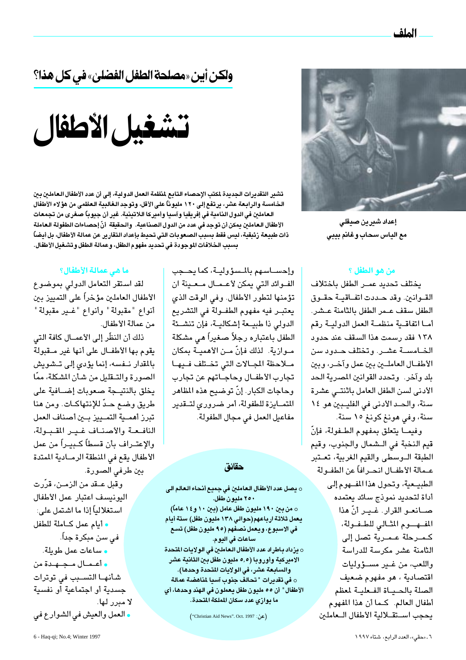الملف



إعداد شيرين صيقلى مع الياس سحاب وغانم بيبي

#### من هو الطفل ؟

يختلف تحديد عمـر الطفل باختلاف القــوانين. وقد حــددت اتفــاقيــة حقــوق الطفل سقف عـمر الطفل بالثامنة عـشر. أمـا اتفاقـية منظمـة العمل الدوليـة رقم ١٣٨ فقد رسمت هذا السقف عند حدود الخامسة عشر. وتختلف حدود سن الأطفــال العاملــين بين عمل وآخــر، وبين بلد وآخر. وتحدد القوانين المصرية الحد الأدنى لسن الطفل العامل باثنتى عشرة سنة، والحد الأدنى في الفليبين هو ١٤ سنة، وفي هونغ كونغ ١٥ سنة.

وفيمـا يتعلق بمفهوم الطـفولة، فإنّ قيم النخبة في الـشمال والجنوب، وقيم الطبقة الوسطى والقيم الغربية، تعتبر عـمالة الأطفــال انحــرافاً عن الطفــولة الطبيعية، وتحول هذا المفهوم إلى أداة لتحديد نموذج سائد يعتمده صــانعــو القرار. غــيـر أنّ هذا المفهدوم المثالي للطفولة، كمرحلة عمرية تصل إلى الثامنة عشر مكرسة للدراسة واللعب، من غـير مســؤوليات اقتصادية ، هو مفهوم ضعيف الصلة بالحياة الفعلية لمعظم أطفال العالم. كـما أن هذا المفهوم يحجب استقلالية الأطفال العاملين

# ولكن أين «مصلحة الطفل الفضلي» في كل هذا؟



تشير التقديرات الجديدة لمكتب الإحصاء التابع لمنظمة العمل الدولية، إلى أن عدد الأطفال العاملين بين الخامسة والرابعة عشر، يرتفع إلى ١٢٠ مليوناً على الأقل، وتوجد الغالبية العظمى من هؤ لاء الأطفال العاملين في الدول النامية في إفريقيا وآسيا وأميركا اللاتينية. غير أن جيوباً صغرى من تجمعات الأطفال الـعاملـين يمكن أن توجد في عدد من الدول الصناعية. والـحقيقة أنّ إحصـاءات الطفولة الـعـاملة ذات طبيعة زئبقية، ليس فقط بسبب الصعوبات التي تحيط بإعداد التقارير عن عمالة الأطفال، بل أيضاً بسبب الخلافات الموجودة في تحديد مفهوم الطفل، وعمالة الطفل وتشغيل الأطفال.

#### ما هي عمالة الأطفال؟

لقد استقر التعامل الدولى بموضوع الأطفال العاملين مؤخراً على التمييز بين أنواع "مقبولة" وأنواع "غـير مقبولة" من عمالة الأطفال.

ذلك أن النظّر إلى الأعمــال كافة التي يقوم بها الأطفــال على أنها غير مــقبولة بالمقدار نــفسه، إنما يؤدى إلى تــشويش الصورة والتـقليل من شأن المشكلة، ممّا يخلق بالنتيجة صعوبات إضافية على طريق وضع حدّ للإنتهاكـات. ومن هنا تبرز أهمـية التمـييز بـين أصناف العمل النافعة والأصناف غير المقبولة، والإعتـراف بأن قسطاً كـبيـراً من عمل الأطفال يقع في المنطقة الرمـادية الممتدة

بين طرفى الصورة. وقبل عــقد من الزمــن، قرّرت اليونيسف اعتبار عمل الأطفال استغلالياً إذا ما اشتمل على: ه أيام عمل كـاملة للطفل فی سن مبکرۃ جداً۔ • ساعات عمل طويلة. • أعمال مجهدة من شأنهـا التســبب فى توترات جسدية أو اجتماعية أو نفسية لا مبرر لها. ه العمل والعيش في الشوارع في

وإحســاسـهم بالمـسؤوليــة، كما يحــجب الفوائد التي يمكن لأعمال معينة ان تؤمنها لتطور الأطفال. وفي الوقت الذي يعتبـر فيه مفهوم الطفـولة في التشريع الدولى ذا طبيعة إشكاليـة، فإن تنشـئة الطفل باعتباره رجلاً صغيراً هى مشكلة مــوازية. لذلك فإنّ مــن الأهميــة بمكان ملاحظة الجالات التي تختلف فيها تجارب الأطفــال وحاجــاتهم عن تجارب وحاجات الكبار. إنّ توضيح هذه المظاهر المتمــايزة للطفولة، أمر ضروري لتــقدير مفاعيل العمل في مجال الطفولة.

#### حقائق

0 يصل عدد الأطفال العاملين في جميع أنحاء العالم الى ۲۰۰ مليون طفل. 0 من بين ١٩٠ مليون طفل عامل (بين ١٠ و ١٤ عاماً) يعمل ثلاثة ارباعهم(حوالي ١٣٨ مليون طفل) ستة أيام في الاسبوع، ويعمل نصفهم (٩٥ مليون طفل) تسع ساعات في اليوم. ○ يزداد باطراد عدد الأطفال العاملين في الولايات المتحدة الاميركية وأوروبا (٥,٥ مليون طفل بين الثانية عشر والسابعة عشر، في الولايات المتحدة وحدها). في تقديرات " تحالف جنوب آسيا لمناهضة عمالة  $\circ$ الأطفال" أن ٥٥ مليون طفل يعملون في الهند وحدها، أي ما يوازي عدد سكان الملكة المتحدة.

(عن: Christian Aid News". Oct. 1997)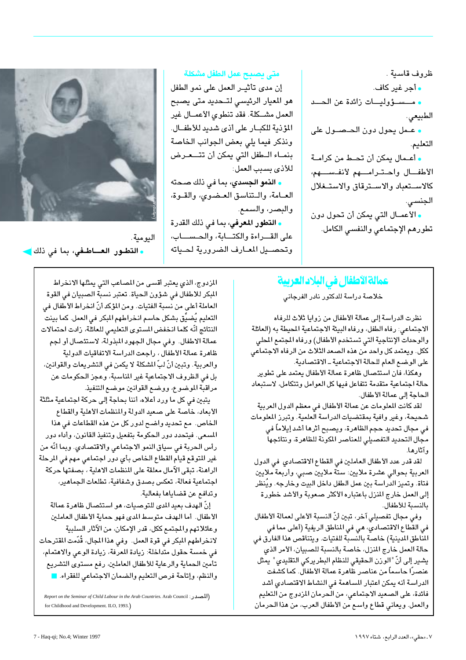ظروف قاسية . **.** أجر غير كاف. • مسسؤوليات زائدة عن الحسد الطبيعي. • عـمل يحول دون الحـصــول على التعليم. <mark>•</mark> أعـمال يمكن أن تحـط من كرامــة الأطفال واحترامهم لأنفسهم، كالاستعباد والاسترقاق والاستغلال الجنسى. ه الأعمــال التي يمكن أن تحول دون

تطورهم الإجتماعي والنفسي الكامل.

#### متى يصبح عمل الطفل مشكلة

إن مدى تأثيـر العمل على نمو الطفل هو المعيار الرئيسي لتـحديد متى يصبح العمل مشكلة. فقد تنطوي الأعمــال غير المؤذية للكبـار على أذى شديد للأطفـال. ونذكر فيما يلى بعض الجوانب الخاصة بنمـاء الـطفل التي يمكن أن تتــعـرض للأذى بسبب العمل:

ه النمو الجسدي، بما في ذلك صحته العـامة، والـتناسق العـضوي، والقـوة، والبصر، والسمع.

<mark>. التطور المعرفي</mark>، بما في ذلك القدرة على القـراءة والكتـابة، والحـســاب، وتحصيل المعارف الضرورية لحياته



اليومية. <mark>- التطـور العـــاطـفي،</mark> بما فى ذلك <mark>ل</mark>

### عمالة الأطفال في البلاد العربية

خلاصة دراسة للدكتور نادر الفرجانى

نظرت الدراسة إلى عمالة الأطفال من زوايا ثلاث للرفاه الاجتماعي: رفاه الطفل، ورفاه البيئة الاجتماعية المحيطة به (العائلة والوحدات الإنتاجية التي تستخدم الأطفال) ورفاه المجتمع المحلي ككل. ويعتمد كل واحد من هذه الصعد الثلاث من الرفاه الاجتماعى على الوضع العام للحالة الاجتماعية ـ الاقتصادية.

وهكذا، فان استئصال ظاهرة عمالة الأطفال يعتمد على تطوير حالة اجتماعية متقدمة تتفاعل فيها كل العوامل وتتكامل، لاستبعاد الحاجة إلى عمالة الأطفال.

لقد كانت المعلومات عن عمالة الأطفال في معظم الدول العربية شحيحة، وغير وافية بمقتضيات الدراسة العلمية. وتبرز المعلومات في مجال تحديد حجم الظاهرة، ويصبح أثرها أشد إيلاماً في مجال التحديد التفصيلي للعناصر المكونة للظاهرة، ونتائجهاً وآثارها.

لقد قدر عدد الأطفال العاملين في القطاع الاقتصادي في الدول العربية بحوالي عشرة ملايين: ستة ملايين صبي، وأربعة ملايين فتاة. وتميز الدراسة بين عمل الطفل داخل البيت وخارجه. ويُنظر إلى العمل خارج المنزل باعتباره الأكثر صعوبة والأشد خطورة بالنسبة للأطفال.

وفي مجال تفصيلي آخر، تبين أنَّ النسبة الأعلى لعمالة الأطفال في القطاع الاقتصادي، هي في المناطق الريفية (أعلى مما في المناطق الدينية) خاصة بالنسبة للفتيات. ويتناقص هذا الفارق في حالة العمل خارج المنزل، خاصة بالنسبة للصبيان، الأمر الذي يشير إلى أنِّ "الوزن الحقيقى للنظام البطريركي التقليدي " يمثل عنصرًا حاسماً من عناصر ظاهرة عمالة الأطفال. كما كشفت الدراسة أنه يمكن اعتبار المساهمة في النشاط الاقتصادى أشد فائدة، على الصعيد الاجتماعي، من الحرمان المزدوج من التعليم والعمل. ويعاني قطاع واسع من الأطفال العرب، من هذا الحرمان

المزدوج، الذي يعتبر أقسى من المصاعب التي يمثلها الانخراط المبكر للاطفال في شؤون الحياة. تعتبر نسبة الصبيان في القوة العاملة أعلى من نسبة الفتيات. ومن المؤكد أنّ انخراط الأطفال في التعليم يُضيِّق بشكل حاسم انخراطهم المبكر في العمل. كما بينت النتائج أنّه كلما انخفض المستوى التعليمي للعائلة، زادت احتمالات عمالة الاطفال. وفي مجال الجهود المبذولة، لاستئصال أو لجم ظاهرة عمالة الأطفال ، راجعت الدراسة الاتفاقيات الدولية والعربية. وتبين أنَّ لبِّ المشكلة لا يكمن في التشريعات والقوانين، بل في الظروف الاجتماعية غير المناسبة، وعجز الحكومات عن مراقبة الموضوع، ووضع القوانين موضع التنفيذ.

يتبين في كل ما ورد أعلاه، أننا بحاجة إلى حركة اجتماعية مثلثة الأبعاد، خاصة على صعيد الدولة والمنظمات الأهلية والقطاع الخاص. مع تحديد واضح لدور كل من هذه القطاعات في هذا المسعى. فيتحدد دور الحكومة بتفعيل وتنفيذ القانون، وأداء دور رأس الحربة في سياق النمو الاجتماعي والاقتصادي. وبما أنَّه من غير المتوقع قيام القطاع الخاص بأي دور اجتماعي مهم في المرحلة الراهنة، تبقى الآمال معلقة على المنظمات الاهلية ، بصفتها حركة اجتماعية فعالة، تعكس بصدق وشفافية، تطلعات الجماهير، وتدافع عن قضاياها بفعالية.

إنّ الهدف بعيد المدى للتوصيات، هو استئصال ظاهرة عمالة الأطفال. أما الهدف متوسط المدى فهو حماية الأطفال العاملين وعائلاتهم والمجتمع ككل، قدر الإمكان، من الآثار السلبية لانخراطهم المبكر فى قوة العمل. وفى هذا المجال، قُدَّمت المقترحات في خمسة حقول متداخلة: زيادة المعرفة، زيادة الوعي والاهتمام، تأمين الحماية والرعاية للأطفال العاملين، رفع مستوى التشريع والنظم، وإتاحة فرص التعليم والضمان الاجتماعي للفقراء.

Report on the Seminar of Child Labour in the Arab Countries. Arab Council : (المصدر: ا for Childhood and Development. ILO, 1993.)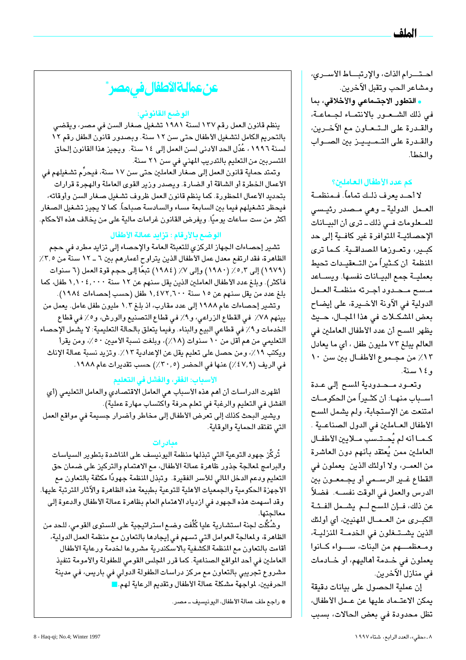احتـرام الذات، والإرتبــاط الأسـرى، ومشاعر الحب وتقبل الآخرين.

• التطور الاجتـماعي والأخلاقي، بما في ذلك الشعور بالانتماء لجماعة، والقـدرة على الـتـعـاون مع الآخـرين، والقدرة على التميييز بين الصواب والخطأ.

#### كم عدد الأطفال العاملين؟

لا أحـد يعرف ذلـك تماماً. فـمنظمــة العـمل الدولية ـ وهي مـصدر رئيـسي للمعلومات فى ذلك ـ ترى أن البيـانات الإحصائيــة المتوافرة غير كافــية إلى حد كبير، وتعوزها المصداقية. كما ترى المنظمة أن كــثيراً من التــعقيــدات تـحيط بعمليـة جمع البيـانات نفسـها. ويسـاعد مسبح محدود أجرته منظمة العمل الدولية في الآونة الأخـيرة، على إيضاح بعض الشكلات في هذا المجال، حيث يظهر المسح أن عدد الأطفال العاملين في العالم يبلغ ٧٣ مليون طفل ، أي ما يعادل ١٢٪ من مجـموع الأطفــال بين سن ١٠ وع ١ سنة.

وتعود محدودية المسح إلى عدة أســباب منهــا: أن كثــيراً من الـحكومــات امتنعت عن الإستجابة، ولم يشمل المسح الأطفال العـاملين في الدول الصناعـية . كـمـا أنه لم يُحـتـسب مـلايين الأطفـال العاملين ممن يُعتقد بأنهم دون العاشرة من العمـر، ولا أولئك الذين يعملون في القطاع غـير الرســمى أو يجـمعـون بين الدرس والعمل في الوقت نفســـه. فضلاً عن ذلك، فـإن المسح لـم يشــمل الفـئـة الكبرى من العـمــال المهنيين، أي أولئك الذين يشتغلون في الخدمة المنزليـة، ومعظمهم من البنات، سواء كانوا يعملون في خـدمة أهاليهم، أو خـادمات في منازل الآخرين.

إن عملية الحصول على بيانات دقيقة يمكن الاعتـماد عليها عن عـمل الأطفال، تظل محدودة في بعض الحالات، بسبب



#### الوضع القانوني:

ينظم قانون العمل رقم ١٣٧ لسنة ١٩٨١ تشغيل صغار السن في مصر، ويقضى بالتحريم الكامل لتشغيل الأطفال حتى سن ١٢ سنة. وبصدور قانون الطفل رقم ١٢ لسنة ١٩٩٦ ، عُدّل الحد الأدنى لسن العمل إلى ١٤ سنة. ويجيز هذا القانون إلحاق المتسربين من التعليم بالتدريب المهنى في سن ٢١ سنة.

وتمتد حماية قانون العمل إلى صغار العاملين حتى سن ١٧ سنة، فيحرِّم تشغيلهم في الأعمال الخطرة أو الشاقة أو الضارة. ويصدر وزير القوى العاملة والهجرة قرارات بتحديد الأعمال المحظورة. كما ينظم قانون العمل ظروف تشغيل صغار السن وأوقاته، فيحظر تشغيلهم فيما بين السابعة مساء والسادسة صباحاً. كما لا يجيز تشغيل الصغار أكثر من ست ساعات يوميًا. ويفرض القانون غرامات مالية على من يخالف هذه الأحكام.

#### الوضع بالأرقام : تزايد عمالة الأطفال

تشير إحصاءات الجهاز المركزي للتعبئة العامة والإحصاء إلى تزايد مطرد في حجم الظاهرة، فقد ارتفع معدل عمل الأطفال الذين يتراوح أعمارهم بين ٦ ــ ١٢ سنة من ٣٫٥٪ (١٩٧٩) إلى ٥,٣٪ (١٩٨٠) وإلى ٧٪ (١٩٨٤) تبعًا إلى حجم قوة العمل (٦ سنوات فأكثر). وبلغ عدد الأطفال العاملين الذين يقل سنهم عن ١٢ سنة ١,١٠٤,٠٠٠ طفل، كما بلغ عدد من يقل سنهم عن ١٥ سنة ١,٤٧٢,٦٠٠ طفل (حسب إحصاءات ١٩٨٤). وتشير إحصاءات عام ١٩٨٨ إلى عدد مقارب، اذ بلغ ١,٢ مليون طفل عامل. يعمل من

بينهم ٧٨٪ في القطاع الزراعي، و٩٪ في قطاع التصنيع والورش، و٥٪ في قطاع الخدمات و٩٪ في قطاعي البيع والبناء. وفيما يتعلق بالحالة التعليمية: لا يشمل الإحصاء التعليمي من هم أقل من ١٠ سنوات (١٨٪)، وبلغت نسبة الأميين ٥٠٪، ومن يقرأ ويكتب ١٩٪، ومن حصل على تعليم يقل عن الإعدادية ١٣٪. وتزيد نسبة عمالة الإناث في الريف (٤٧,٩٪) عنها في الحضر (٣٠,٥٪) حسب تقديرات عام ١٩٨٨.

#### الأسباب: الفقر، والفشل في التعليم

أظهرت الدراسات أن أهم هذه الأسباب هي العامل الاقتصادي والعامل التعليمي (أي الفشل في التعليم والرغبة في تعلم حرفة واكتساب مهارة عملية). ويشير البحث كذلك إلى تعرض الأطفال إلى مخاطر وأضرار جسيمة في مواقع العمل التي تفتقد الحماية والوقاية.

#### معادرات

تُركَّز جهود التوعية التي تبذلها منظمة اليونيسف على المناشدة بتطوير السياسات والبرامج لمعالجة جذور ظاهرة عمالة الأطفال، مع الاهتمام والتركيز على ضمان حق التعليم ودعم الدخل المالي للأسر الفقيرة. وتبذل المنظمة جهودًا مكثفة بالتعاون مع الأجهزة الحكومية والجمعيات الأهلية للتوعية بطبيعة هذه الظاهرة والآثار المترتبة عليها. وقد أسـهمت هذه الجهود في ازدياد الاهتمام العام بظاهرة عمالة الأطفال والدعوة إلى معالجتها.

وشُكِّلت لجنة استشارية عليا كُلِّفت وضـع اسـتراتيجية على المستوى القومى، للـحد من الظاهرة، ولمعالجة العوامل التي تسهم في إيجادها بالتعاون مع منظمة العمل الدولية، أقامت بالتعاون مع المنظمة الكشفية بالاسكندرية مشروعا لخدمة ورعاية الأطفال العاملين في أحد المواقع الصناعية. كما قرر المجلس القومي للطفولة والأمومة تنفيذ مشروع تجريبي بالتعاون مع مركز دراسات الطفولة الدولي في باريس، في مدينة الحرفيين، لمواجهة مشكلة عمالة الأطفال وتقديم الرعاية لهم.□

\* راجع ملف عمالة الأطفال، اليونيسيف ـ مصر.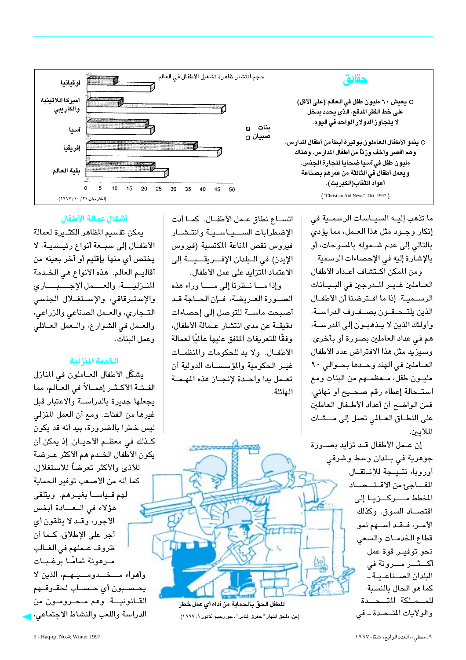

ما تذهب إليـه السيـاسات الرسمـية فى إنكار وجود مثل هذا العمل، مما يؤدى بالتالي إلى عدم شهوله بالمسوحات، أو بالإشارة إليه في الإحصاءات الرسمية. ومن المكن اكتشاف أعداد الأطفال العـاملين غـيـر المـدرجين فى البـيـانات الرســميـة، إذا ما افــترضنا أن الأطفــال الذين يلتـحـقـون بصــفـوف الدراســة، وأولئك الذين لا يتذهبون إلى المدرستة، هم في عداد العاملين بصورة أو بأخرى. وسيزيد مثل هذا الافتراض عدد الأطفال العاملين في الهند وحدها بحوالي ٩٠ مليون طفل، معظمهم من البنات.ومع استحالة إعطاء رقم صحيح أو نهائى، فمن الواضح أن أعداد الأطفال العاملين على النطاق العـالمي تصل إلى مــئـات الملادىن.

إن عـمل الأطفال قـد تزايد بصـورة جوهرية في بـلدان وسط وشرقى أوروبا، نتيجة للإنتقال المفاجئ من الاقتصاد المخطط مسركيزيا إلى اقتصــاد السوق. وكذلك الأمـر، فـقـد أســهم نمو قطاع الخدمات والسعى نحو توفير قوة عمل أكــــثـــــر مـــــرونة في البلدان الصناعيةً كما هو الحال بالنسبة للمهلكة المتحدة والولايات المتحدة - في

اتســاع نطاق عـمل الأطفــال. كمــا أدت الإضطرابات السهياسية وانتشار فيروس نقص المناعة المكتسبة (فيروس الإيدز) في الـبلدان الإفـــريقـــيـــة إلى الاعتماد المتزايد على عمل الأطفال.

وإذا مـا نـظرنا إلى مـــا وراء هذه الصورة العريضة، فإن الحاجة قد أصبحت ماســة للتوصل إلى إحصاءات دقيقــة عن مدى انتشار عـمالة الأطفال، وفقًا للتعريفات المتفق عليها عالميًا لعمالة الأطفــال. ولا بد للحكومات والمنظمــات غيـر الحكومية والمؤسسـات الدولية أن تعمل يدا واحدة لإنجاز هذه المهمة الهائلة.



(عن: ملحق النهار "حقوق الناس" . جو رحيم، كانون١، ١٩٩٧).

#### أشكال عمالة الأطفال

يمكن تقسيم المظاهر الكثـيرة لعمالة الأطفـال إلى سبـعة أنواع رئيـسيـة، لا يختص أي منها بإقليم أو آخر بعينه من أقاليـم العالم. هذه الأنواع هي الخـدمة المنزلية، والعصمل الإجبباري والإسترقاقى، والإستغلال الجنسى التجاري، والعمل الصناعي والزراعي، والعمل في الشوارع، واللعمل العلائلي وعمل البنات.

#### الخدمة المنزلية

يشكّل الأطفال العــاملون في المنازل الفئــة الأكــثــر إهمــالاً في العــالم، مما يجعلها جديرة بالدراسـة والاعتبار قبل غيرها من الفئات. ومع أن العمل المنزلي ليس خطرا بالضرورة، بيد أنه قد يكون كـذلك في معظـم الأحيــان. إذ يمكن أن يكون الأطفال الخـدم هم الأكثر عـرضة للأذي والأكثر تعرضاً للاستغلال. كما أنه من الأصعب توفير الحماية لهم قـياسـا بغيـرهم. ويتلقى هؤلاء في العادة أبخس الأجور، وقد لا يتلقون أي أجر على الإطلاق، كـما أن ظروف عملهم فى الغـالب مـرهونة تمامًـا برغـبـات وأهواء مـــــذــــدومـــــيـــهــم، الذين لا يحسبون أى حساب لحقوقهم القـانونيــة. وهم مـحـرومـون من الدراسة واللعب والنشاط الاجتماعى، إ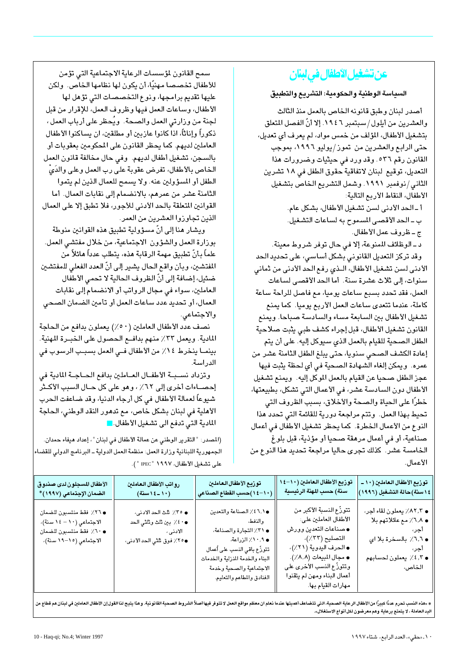## عن تشغيل الأطفال في لينان

#### السياسة الوطنية والحكومية: التشريع والتطبيق

أصدر لبنان وطبق قانونه الخاص بالعمل منذ الثالث والعشرين من أيلول/سبتمبر ١٩٤٦. إلا أنّ الفصل المتعلق بتشغيل الأطفال، المؤلف من خمس مواد، لم يعرف أي تعديل، حتى الرابع والعشرين من تموز/يوليو ١٩٩٦، بموجب القانون رقم ٥٣٦. وقد ورد في حيثيات وضرورات هذا التعديل، توقيع لبنان لاتفاقية حقوق الطفل في ١٨ تشرين الثاني/نوفمبر ١٩٩١. وشمل التشريع الخاص بتشغيل الأطفال، النقاط الأربع التالية:

> أ- الحد الأدنى لسن تشغيل الأطفال، بشكل عام. ب ـ الحد الأقصى المسموح به لساعات التشغيل. ج ـ ظروف عمل الأطفال.

د ـ الوظائف المنوعة، إلا في حال توفر شروط معينة. وقد تركز التعديل القانوني بشكل أساسي، على تحديد الحد الأدني لسن تشغيل الأطفال، الـذي رفع الحد الأدنى من ثماني سنوات، إلى ثلاث عشرة سنة. أما الحد الأقصى لساعات العمل، فقد تحدد بسبع ساعات يوميا، مع فاصل للراحة ساعة كاملة، عندما تتعدى ساعات العمل الأربع يوميا. كما يمنع تشغيل الأطفال بين السابعة مساء والسادسة صباحا. ويمنع القانون تشغيل الأطفال، قبل إجراء كشف طبي يثبت صلاحية الطفل الصحية للقيام بالعمل الذي سيوكل إليه. على أن يتم إعادة الكشف الصحى سنويا، حتى يبلغ الطفل الثامنة عشر من عمره. ويمكن إلغاء الشهادة الصحية في أي لحظة يثبت فيها عجز الطفل صحيا عن القيام بالعمل الموكل إليه. ويمنع تشغيل الأطفال دون السادسة عشر، في الأعمال التي تشكل، بطبيعتها، خطرًا على الحياة والصحة والأخلاق، بسبب الظروف التي تحيط بهذا العمل. وتتم مراجعة دورية للقائمة التي تحدد هذا النوع من الأعمال الخطرة. كما يحظر تشغيل الأطفال في أعمال صناعية، أو في أعمال مرهقة صحيا أو مؤذية، قبل بلوغ الخامسة عشر. كذلك تجرى حاليا مراجعة تحديد هذا النوع من الأعمال.

سمح القانون لمؤسسات الرعاية الاجتماعية التى تؤمن للأطفال تخصصا مهنيًا، أن يكون لها نظامها الخاص. ولكن عليها تقديم برامجها، ونوع التخصصات التى تؤهل لها الأطفال، وساعات العمل فيها وظروف العمل، للإقرار من قبل لجنة من وزارتى العمل والصحة. ويُحظر على أرباب العمل ، ذكوراً وإناثاً، اذا كانوا عازبين أو مطلقين، ان يساكنوا الأطفال العاملين لديهم. كما يحظر القانون على المكومين بعقوبات أو بالسجن، تشغيل أطفال لديهم. وفي حال مخالفة قانون العمل الخاص بالأطفال، تفرض عقوبة على رب العمل وعلى والدَىُّ الطفل أو المسؤولين عنه. ولا يسمح للعمال الذين لم يتموا الثامنة عشر من عمرهم، بالانضمام إلى نقابات العمال. أما القوانين المتعلقة بالحد الأدنى للأجور، فلا تطبق إلا على العمال الذين تجاوزوا العشرين من العمر.

ويشار هنا إلى أنّ مسؤولية تطبيق هذه القوانين منوطة بوزارة العمل والشؤون الاجتماعية، من خلال مفتشى العمل. علماً بأنّ تطبيق مهمة الرقابة هذه، يتطلب عدداً هائلاً من المفتشين، وبأن واقع الحال يشير إلى أنّ العدد الفعلى للمفتشين ضئيل، إضافة إلى أنّ الظروف الحالية لا تحمى الأطفال العاملين، سواء في مجال الرواتب أو الانضمام إلى نقابات العمال، أو تحديد عدد ساعات العمل أو تأمين الضمان الصحى والاجتماعى.

نصف عدد الأطفال العاملين (٥٠/) يعملون بدافع من الحاجة المادية. ويعمل ٣٣٪ منهم بدافـع الـحصـول على الـخبــرة المهنية. بينمـا ينخرط ١٤٪ من الأطفال فـى العمل بسبـب الرسوب فى الدر اسة.

وتزداد نسببة الأطفال العاملين بدافع الحـاجـة المادية في إحصـاءات أخرى إلى ٦٢٪ ، وهو على كل حـال السبب الأكـثر شيوعاً لعمالة الأطفال في كل أرجاء الدنيا، وقد ضاعفت الحرب الأهلية في لبنان بشكل خاص، مع تدهور النقد الوطني، الحاجة المادية التي تدفع الى تشغيل الأطفال.■

(المصدر: "التقرير الوطني عن عمالة الأطفال في لبنان"، إعداد هيفاء حمدان. الجمهورية اللبنانية وزارة العمل: منظمة العمل الدولية ـ البرنامج الدولي للقضاء على تشغيل الأطفال، ١٩٩٧ " IPEC " ).

| الأطفال المسجلون لدى صندوق                                                                                 | رواتب الأطفال العاملين                                                             | توزيع الأطفال العاملين                                                                                                                                                                                        | توزيع الأطفال العاملين (١٠–١٤                                                                                                                                                                                                       | توزيع الأطفال العاملين (١٠ ـ                                                                                                  |
|------------------------------------------------------------------------------------------------------------|------------------------------------------------------------------------------------|---------------------------------------------------------------------------------------------------------------------------------------------------------------------------------------------------------------|-------------------------------------------------------------------------------------------------------------------------------------------------------------------------------------------------------------------------------------|-------------------------------------------------------------------------------------------------------------------------------|
| الضمان الإجتماعي (١٩٩٧)*                                                                                   | $(\ddot{a} \ddot{b} + b \ddot{c})$ سنة)                                            | (١٠–١٤)حسب القطاع الصناعي                                                                                                                                                                                     | سنة) حسب المهنة الرئيسية                                                                                                                                                                                                            | ١٤ سنة)حالة التشغيل (١٩٩٦)                                                                                                    |
| • ٢٦٪ فقط منتسبون للضمان<br>الاجتماعی (١٠ – ١٤ سنة)،<br>• ٦٠٪ فقط منتسبون للضمان<br>الاجتماعي (١٥–١٩ سنة)، | ● ٣٥٪ ثلث الحد الادنى،<br>● ∙ ٤ ٪ بين ثلث وثلثي الحد<br>●٢٥٪ فوق ثلثي الحد الأدنى، | ٢.١٥٪ الصناعة والتعدين<br>والنفط،<br>• ٣١٪ التجارة والصناعة،<br>● ۱۰٫۹٪ الزراعة،<br>تتوزّع باقى النسب على أعمال<br>البناء والخدمة المنزلية والخدمات<br>الاجتماعية والصحية وخدمة<br>الفنادق والمطاعم والتعليم. | تتورِّع النسبة الأكبر من<br>الأطفال العاملين على:<br>● صناعات التعدين وورش<br>التصليح (٣٣٪)،<br>● الحرف اليدوية (٢١٪)،<br>● مجال المبيعات (٨,٨٪).<br>وتتورَّع النسب الأخرى على<br>أعمال البناء ومهن لم يتقنوا<br>مهارات القيام بها. | • ٨٢,٢٪ يعملون لقاء أجر،<br>● ٦٫٨٪ مع عائلاتهم بلا<br>آجر،<br>• ٦,٦٪ بالسخرة بلا اي<br>آجر،<br>• ٤,٢ يعملون لحسابهم<br>الخاص، |

\* «هذه النسب تحرم عددًا كبيرًا من الأطفال الرعاية الصحية، التي تتضاعف أهميتها عندما نعلم المعال لا تتوفر فيها أصلاً الشروط الصحية القانونية. وهذا يتيح لنا القول إن الأطفال العاملين في لبنان هم قطاع من اليد العاملة ، لا يتمتع برعاية وهم معرضون لكل أنواع الاستغلال».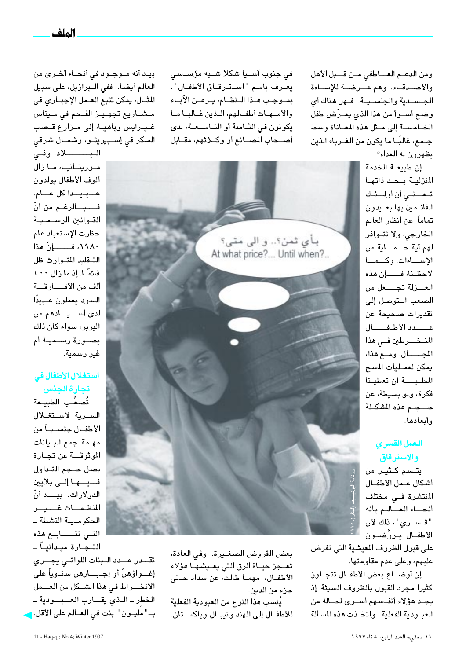بيـد أنه مــوجــود في أنحــاء أخــرى من العالم أيضا. ففي الـبرازيل، على سبيل الشال، يمكن تتبع العـمل الإجبـاري في مشاريع تجهيز الفحم في ميناس غيرايس وباهيا، إلى مزارع قصب السكر في إسـبيريتـو، وشمـال شرقى

البـــــــــــلاد. وفــى موریتانیا، ما زال ألوف الأطفال يولدون عـبيـداكل عـام. فـــبــالرغـم من أنّ القوانين الرسـمـيـة حظرت الإستعباد عام ١٩٨٠، فــــــــإنّ هذا التقليد المتوارث ظل قائمًــا. إذ ما زال ٤٠٠ ألف من الأفسارقة السود يعملون عبيدًا لدى أســيـادهم من البربر، سواء كان ذلك بصــورة رســميــة أم غير رسمية.

#### استغلال الأطفال في تجارة الجنس

تُصعِّب الطبيعة السربة لاستغلال الأطفـال جنســيــاً من مهمة جمع البيانات الموثوقة عن تجارة يصل حجم التداول فسيسها إلىي بلايين الدولارات. بيـــد أنّ المنظمسات غسيسر الحكومـيـة النشطة ـ التى تتــــابـع هذه التــجــارة ميــدانيــاً ــ

تقدر عدد البنات اللواتى يجرى إغـــواؤهنّ أو إجــبـــارهن سنــوياً على الانخــراط في هذا الشـكل من العــمل الخطر ـ اللذى يقـارب العــبـودية ـ بـ " مليــون " بنت في العــالم على الأقل. <mark>-</mark>

فی جنوب آســیا شکلا شــبه مؤســسی يعرف باسم "استرقاق الأطفال". بموجب هذا النظام، يرهن الآباء والأمهات أطفالهم، الذين غالبا ما يكونون في الثـامنة أو التـاسـعـة، لدى أصحاب المصانع أو وكلائهم، مقابل

ومن الدعم العاطفي من قبل الأهل والأصدقاء. وهم عرضة للإساءة الجسدية والجنسية. فهل هناك أي وضع أسوأ من هذا الذي يعرّض طفل الخامسة إلى مثل هذه المعاناة وسط جـمع، غالبًــا ما يكون من الغــرباء الذين يظهرون له العداء؟

إن طبيعـة الخدمة المنزلية بحد ذاتها تعضى أن أولئك القائمين بها بعيدون تماماً عن أنظار العالم الخارجى، ولا تتوافر لهم أية حــمــاية من الإساءات. وكـمـا لاحظنا، فـــان هذه العــزلة تجـــعل من الصعب التوصل إلى تقديرات صحيحة عن عسدد الأطفسال المنخرطين في هذا المجـــال. ومع هذا، يمكن لعمليات المسح المطيبة أن تعطينا فكرة، ولو بسيطة، عن حصجم هذه المشكلة وأبعادها.

#### العمل القسرى والاسترقاق

يتـسم كـثيـر من أشكال عـمل الأطفــال المنتشرة فـى مختلف أنحساء العسالم بأنه "قـســري"، ذلك لأن الأطفـال يـروَّضــون

على قبول الظروف المعيشية التي تفرض عليهم، وعلى عدم مقاومتها.

إن أوضاع بعض الأطفال تتجاوز كثيرا مجرد القبول بالظروف السيئة. إذ يجد هؤلاء أنفسهم أسرى لحالة من العبودية الفعلية. واتخذت هذه المسألة



بعض القروض الصغـيرة. وفي العادة، تعــجز حيــاة الرق التى يعــيشـهــا هؤلاء الأطفــال، مهمــا طالت، عن سداد حــتى جزء من الدين.

يُنسب هذا النوع من العبودية الفعلية للأطفــال إلى الهند ونيبــال وباكســتان.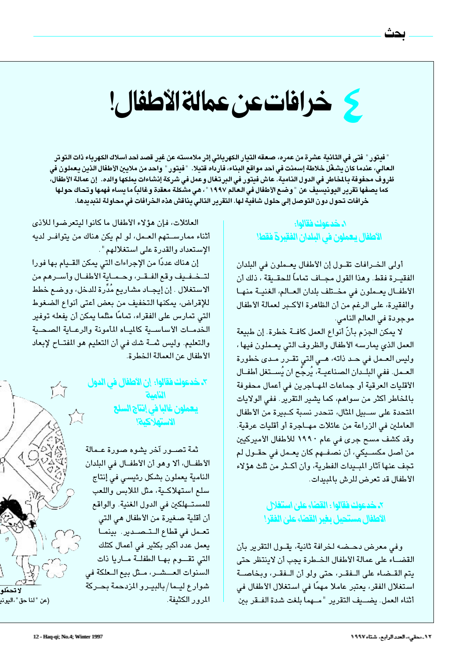# كي خرافات عن عمالة الأطفال!

" فيتور " فتى في الثانية عشرة من عمره، صعقه التيار الكهربائي إثر ملامسته عن غير قصد أحد أسلاك الكهرباء ذات التوتر الـعـالـي، عندما كـان يشـغّل خـلاطة إسمنت في أحد مواقـع البنـاء، فأرداه قتيـلا. " فيتور " واحد من ملايـين الأطفال الذين يـعملون في ظروف محفوفة بالمخاطر في الدول النامية. عاش فيتور في البرتغال وعمل في شركة إنشاءات يملكها والده. إن عمالة الأطفال، كما يصفها تقرير اليونيسيف عن "وضع الأطفال في العالم ١٩٩٧ " ، هي مشكلة معقدة وغالباً ما يساء فهمها وتحاك حولها خرافات تحول دون التوصل إلى حلول شافية لها. التقرير التالي يناقش هذه الخرافات في محاولة لتبديدها.

#### ٨. خدعوك فقالوا: الأطفال يعملون في البلدان الفقيرة فقط!

أولى الخـرافات تقـول إن الأطفال يعـملون في البلدان الفقيـرة فقط. وهذا القول مجــاف تماماً للحقــيقة ، ذلك أن الأطفـال يعـملون في مخـتلف بلدان العـالم، الغنيـة منهـا والفقيرة، على الرغم من أن الظاهرة الأكبر لعمالة الأطفال موجودة في العالم النامي.

لا يمكن الجزم بأنّ أنواع العمل كافــة خطرة. إن طبيعة العمل الذي يمارسه الأطفال والظروف التي يعـملون فيها ، وليس العــمل في حــد ذاته، هــي التي تقــرر مــدى خطورة العــمل. ففي البلــدان الصـناعيــة، يُرجِّح ان يُســتغل أطفــال الأقليات العرقية أو جماعات المهـاجرين في أعمال محفوفة بالمخاطر أكثر من سواهم، كما يشير التقرير. ففي الولايات المتحدة على سـبيل المثال، تنحدر نسبة كـبيرة من الأطفال العاملين في الزراعة من عائلات مهـاجرة أو أقليات عرقية. وقد كشف مسح جرى فى عام ١٩٩٠ للأطفال الأميركيين من أصل مكســيكي، أن نصفــهم كان يعـمل في حقــول لم تجف عنها آثار المبيدات الفطرية، وأن أكـثر من ثلث هؤلاء الأطفال قد تعرض للرش بالمبيدات.

#### ٢. خدعوك فقالوا : القضاء علىٰ استغلال الأطفال مستحيل بغير القضاء على الفقر!

وفي معرض دحـضه لخرافة ثانية، يقـول التقرير بأن القضــاء على عمالة الأطفال الخـطرة يجب أن لاينتظر حتى يتم القـضاء على الـفقـر، حتى ولو أن الـفقـر، وبخاصــة استغلال الفقر، يعتبر عاملا مهمًا في استغلال الأطفال في أثناء العمل. يضيف التقرير "مهما بلغت شدة الفقر بين

العائلات، فإن هؤلاء الأطفال ما كانوا ليتعرضوا للأذى أثناء ممارسـتهم العـمل، لو لم يكن هناك من يتوافـر لديه الإستعداد والقدرة على استغلالهم" .

إن هناك عددًا من الإجراءات التي يمكن القــيام بـها فورا لتخفيف وقع الفقر، وحماية الأطفال وأسرهم من الاستغلال . إن إيجــاد مشـاريـع مُدِّرة للدخل، ووضـع خطط للإقراض، يمكنها التخفيف من بعض أعتى أنواع الضغوط التي تمارس على الفقراء، تمامًا مثلما يمكن أن يفعله توفير الخدمـات الأساسـية كالمياه المأمونة والرعـاية الصحـية والتعليم. وليس ثمـة شك في أن التعليم هو المفتـاح لإبعاد الأطفال عن العمالة الخطرة.

> ٢ـ خدعوك فقالوا: إن الأطفال في الدول النامية <mark>يعملون غالبا في إنتاج السلح</mark><br>الاستهلاكية!

ثمة تصــور آخر يشوه صورة عـمالة الأطفــال، ألا وهو أن الأطفــال في البلدان النامية يعملون بشكل رئيسي في إنتاج سلع استهلاكية، مثل الملابس واللعب للمستهلكين في الدول الغنية. والواقع أن أقلية صغيرة من الأطفال هي التي تعمل فى قطاع التصدير. بينما يعمل عدد أكبر بكثير في أعمال كتلك التى تقسوم بها الطفلة ماريا ذات السنوات العـــشــر، مـثل بيع الــعلكة في شوارع ليـما/بالبيـرو المزدحمة بحـركة المرور الكثيفة.

ТT

☆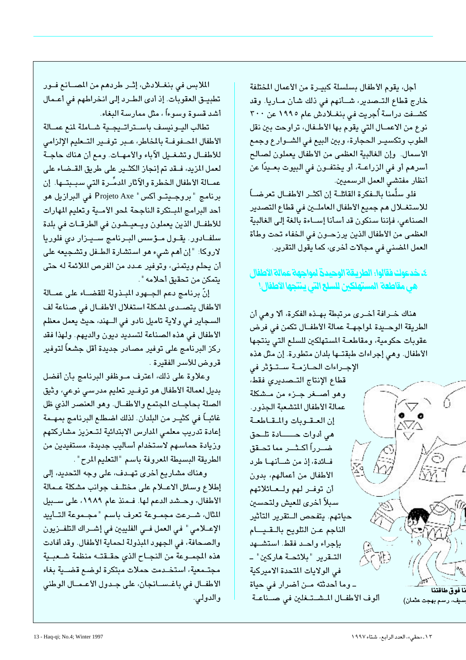أجل، يقوم الأطفال بسلسلة كبيـرة من الأعمال المختلفة خارج قطاع التـصدير، شــأنهم في ذلك شـأن مــاريا. وقد كشــفت دراسـة أُجريت في بنغــلادش عام ١٩٩٥ عن ٣٠٠ نوع من الاعمــال التي يقوم بها الأطــفال، تراوحت بين نقل الطوب وتكسيـر الحجارة، وبين البيع في الشــوارع وجمع الأسمال. وإن الغالبية العظمى من الأطفال يعملون لصالح أسرهم أو في الزراعــة، أو يختفــون في البيوت بعــيدًا عن أنظار مفتشى العمل الرسميين.

فلو سلَّمنا بالــفكرة القائلــة إن أكثــر الأطفــال تعرضـــاً للاستغــلال هم جميع الأطفال العاملــين في قطاع التصدير الصناعي، فإننا سنكون قد أسأنا إسـاءة بالغة إلى الغالبية العظمى من الأطفال الذين يرزحـون في الخفاء تحت وطأة العمل المضنى في مجالات أخرى، كما يقول التقرير.

#### ٤ـ خدعوك فقالوا: الطريقة الوحيدة لمواجهة عمالة الأطفال هي مقاطعة المستهلكين للسلع التي ينتجها الاطفال!

هناك خــرافة أخــرى مرتبطة بهــذه الفكرة، ألا وهـى أن الطريقة الوحــيدة لمواجهــة عمالة الأطفــال تكمن في فرض عقوبات حكومية، ومقاطعة المستهلكين للسلع التي ينتجها الأطفال. وهي إجراءات طبقتها بلدان متطورة. إن مثل هذه

الإجراءات الحبازمية ستقوش في قطاع الإنتاج التـصديرى فقط، وهو أصفر جنزء من مشكلة عمالة الأطفال المتشعبة الجذور. إن العقوبات والمقاطعة هي أدوات حـــــادة تلـحق ضــرراً أكــثــر مما تحــقق فائدة، إذ من شأنها طرد الأطفال من أعمالهم، بدون أن توفير لهم ولعائلاتهم سبلأ أخرى للعيش ولتحسين حياتهم. يتفحص الـتقرير التأثير الناجم عن التلويح بالقيام بإجراء واحد فقط استشهد التـقرير "بلائحـة هاركين" ـ في الولايات المتحدة الاميركية ـ وما أحدثته مـن أضرار في حياة ـًا فو ق طاقتنا ألوف الأطفال المشتغلين في صناعة ، رسم بهجت عثمان)

الملابس في بنغـلادش، إثـر طردهم من المصـانع فـور تطبيــق العقوبات. إذ أدى الطـرد إلى انخراطهم في أعـمال أشد قسوة وسوءاً ، مثل ممارسة البغاء.

تطالب اليونيسف باستراتيجية شاملة لمنع عمالة الأطفال المحفوفة بالمخاطر، عبر توفير التبعليم الإلزامي للأطفــال وتشغــيل الآباء والأمهــات. ومع أن هناك حاجــة لعمل المزيد، فــقد تم إنجاز الكثــير على طريق القــضـاء على عمــالة الأطفال الـخطرة والآثار المدمِّـرة التي سبـبتــها. إن برنامج "بروجيتو أكس" Projeto Axe في البرازيل هو أحد البرامج المبتكرة الناجحة لمحو الأمية وتعليم المهارات للأطفـال الذين يعملون ويـعيـشون في الطرقـات في بلدة سلفـادور. يقـول مـؤسس البـرنامج سـيـزار دى فلوريا لاروكا: "إن أهم شيء هو استشارة الطـفل وتشجيعه على أن يحلم ويتمنى، وتوفير عـدد من الفرص الملائمة له حتى يتمكن من تحقيق أحلامه " .

إنّ برنامج دعم الجــهود المبـذولة للقضــاء على عمــالة الأطفال يتصـدى لشكلة استغلال الأطفـال في صناعة لف السجاير في ولاية تاميل نادو في الـهند، حيث يعمل معظم الأطفال في هذه الصناعة لتسديد ديون والديهم. ولهذا فقد ركز البرنامج على توفير مصادر جديدة أقل جشعاً لتوفير قروض للأسر الفقيرة .

وعلاوة على ذلك، اعترف موظفو البرنامج بأن أفضل بديل لعمالة الأطفال هو توفـير تعليم مدرسـى نوعى، وثيق الصلة بحاجات المجتمع والأطفال. وهو العنصر الذي ظل غائبــاً في كثيــر من البلدان. لذلك اضطلع البرنامج بمهــمة إعادة تدريب معلمى المدارس الابتدائية لتـعزيز مشاركتهم وزيادة حماسهم لاستخدام أساليب جديدة، مستفيدين من الطريقة البسيطة المعروفة باسم "التعليم المرح".

وهناك مشاريع أخرى تهـدف، على وجه التحديد، إلى إطلاع وسائل الاعــلام على مختلـف جوانب مشكلة عـمالة الأطفال، وحشد الدعم لها. فـمنذ عام ١٩٨٩، على سـبيل المثال، شــرعت مجمــوعة تعرف باسم "مجــموعة التــأييد الإعــلامي" في العمل فــى الفليبين في إشــراك التلفــزيون والصحافة، في الجهود المبذولة لحماية الأطفال. وقد أفادت هذه المجموعة من النجاح الذي حققته منظمة شعبية مجتـمعية، استخـدمت حملات مبتكرة لوضـع قضــية بغاء الأطفــال في باغــســانجان، على جـدول الأعـمــال الوطني والدولي.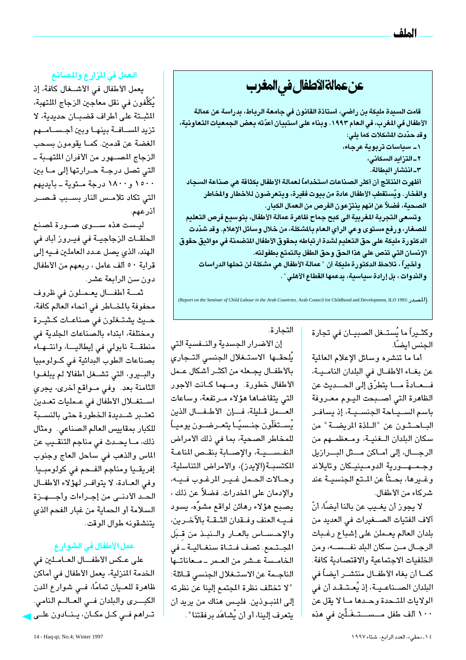عن عمالةالأطفال في المغرب

قامت السبيدة مليكة بن راضى، أستاذة القانون فى جامعة الرباط، بدراسة عن عمالة الأطفال في المغرب، في الـعـام ١٩٩٣. وبنـاء علـى استبيـان أعدّته بـعض الـجمعيات التـعـاونية، وقد حدّدت المشكلات كما يلي:

١- سياسات تربوية عرجاء،

٢\_التزايد السكانى،

٣-انتشار البطالة.

أظهرت النتائج أن أكثر الصناعات استخداماً لعمالة الأطفال بكثافة هي صناعة السجاد والفخار. ويُستقطب الأطفال عادة من بيوت فقيرة، ويتعرضون للأخطار والمخاطر الصحية، فضلاً عن انهم ينتزعون الفرص من العمال الكبار.

وتسعى التجربة المغربية الى كبح جماح ظاهرة عمالة الأطفال، بتوسيع فرص التعليم للصغار، ورفع مستوى وعى الرأي العام بالمشكلة، من خلال وسائل الإعلام. وقد شدّدت الدكتورة مليكة على حق التعليم لشدة ارتباطه بحقوق الأطفال المتضمنة في مواثيق حقوق الإنسان التي تنص على هذا الحق وحق الطفل بالتمتع بطفولته.

وأخيراً ، تلاحظ الدكتورة مليكة أن " عمالة الأطفال هي مشكلة لن تحلها الدراسات والندوات ، بل إرادة سياسية، يدعمها القطاع الأهلي " .

(Report on the Seminar of Child Labour in the Arab Countries. Arab Council for Childhood and Development, ILO 1993: (المصدر)

وكثــيراً ما يُستــغل الصـبيــان فى تجارة الجنس أىضًا.

أما ما تنشره وسائل الإعلام العالمية عن بغـاء الأطفـال في البلدان النامـيـة، فـــعــادةً مــــا يتطرّق إلى الـحـــديث عن الظاهرة التى أصبحت اليوم معروفة باسم السياحة الجنسية، إذ يسافر البـاحـثون عن "الـلذة المريضـة" من سكان البلدان الـغنيـة، ومـعظمـهم من الرجال، إلى أماكن متل البرازيل وجمه ورية الدومينيكان وتايلاند وغــيرها، بحــثاً عن المـتع الـجنسيــة عند شركاء من الأطفال.

لا يجوز أن يغــيب عن بالنا أيضًا، أنّ آلاف الفتيات الصفيرات في العديد من بلدان العالم يعملن على إشباع رغبات الرجــال مــن سكان البلد نفـــســـه، ومن الخلفيات الاجتماعية والاقتصادية كافة. كمـا أن بغاء الأطفـال منتشــر أيضاً في البلدان الصــناعـيـة، إذ يُعـتـقـد أن في الولايات المتحدة وحدها ما لا يقل عن ۱۰۰ ألف طفل مـــســــتــغَــلِّين في هذه

التجارة.

إن الأضرار الجسدية والنفسية التى يُلحقـها الاستـغلال الجنسى التـجارى بالأطفـال يجـعله من أكثـر أشكال عـمل الأطفال خطورة. ومهما كـانت الأجور التي يتقاضاها هؤلاء مرتفعة، وساعات العـمل قليلة، فـإن الأطفـال الذين يُســتغَلّون جنــسيًــا يتعــرضـــون يوميــاً للمخاطر الصحية، بما في ذلك الأمراض النفسيية، والإصابة بنقص المناعة المكتسبة(الإيدز)، والأمراض التناسلية، وحالات الحمل غير المرغوب فيه، والإدمان على المخدرات. فضلاً عن ذلك ، يصبح هؤلاء رهائن لواقع مشوًه، يسود فبه العنف وفيقدان الثيقة بالآخرين، والإحساس بالعار والنبذ من قبل المجتمع. تصف فتاة سنغالية - في الخامسة عشر من العمر ـ معاناتها الناجـمة عن الاستـغلال الجنسي قـائلة: " لا تختلف نظرة المجتمع إلينا عن نظرته إلى المنبوذين. فليس هناك من يريد أن يتعرف إلينا، أو أن يُشاهَد برفقتنا " .

#### العمل في المزارع والمصانع

يعمل الأطفال في الأشفال كافة، إذ يُكَلَّفون في نقل معاجين الزجاج الملتهبة، المثبتة على أطراف قضبان حديدية، لا تزيد المسافة بينها وبين أجسامهم الغضة عن قدمين. كمــا يقومون بسـحب الزجاج المصنهور من الأفران الملتهبة ــ الٿي تصل درجــة حــرارتها إلى مــا بين ١٥٠٠ و١٨٠٠ درجة مئوية - بأيديهم التى تكاد تلامـس النار بسـبب قـصـر أذرعهم.

ليست هذه ســـوى صــورة لمصنع الحلقـات الزجاجيـة في فيـروز أباد في الهند، الذي يصل عـدد العاملين فـيه إلى قرابة ٥٠ ألف عامل ، ربعهم من الأطفال دون سن الرابعة عشر.

ثمسة أطفــال يعـمـلون في ظروف محفوفة بالمضاطر في أنحاء العالم كافة، حيث يشتخلون في صناعـات كـثيـرة ومختلفة، ابتداء بالصناعات الجلدية في منطقة نابولي في إيطاليــا، وانتــهـاء بصناعات الطوب البدائية في كولومبيا والبيرو، التي تشغل أطفالا لم يبلغوا الثامنة بعد. وفي مـواقع أخرى، يجري استغلال الأطفال في عمليات تعدين تعتـبر شــديدة الخطورة حتى بالنســبة للكبار بمقاييس العالم الصناعي. ومثال ذلك، مــا يحــدث في مناجم التنقــيب عن الماس والذهب فى ساحل العاج وجنوب إفريقـيا ومناجم الفـحم في كولومبـيا. وفي العادة، لا يتوافر لهؤلاء الأطفال الحد الأدنى من إجراءات وأجهزة السلامة أو الحماية من غبار الفحم الذي يتنشقونه طوال الوقت.

#### عمل الأطفال في الشوار ع

على عكس الأطفال العاملين في الخدمة المنزلية، يعمل الأطفال في أماكن ظاهرة للعـيان تمامًا، فــي شوار ع المدن الكبرى والبلدان في العبالم النامي. تـراهم فــی کــل مکــان، پــنــادون علــی <mark>ل</mark>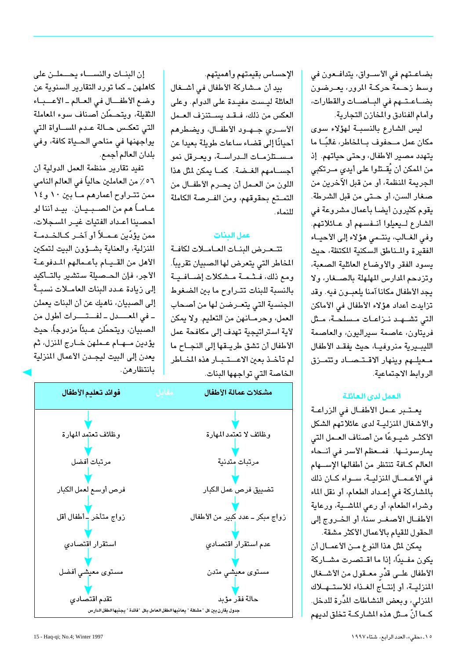بضاعتهم في الأسواق، يتدافعون في وسط زحمة حركـة المرور، يعـرضون بضاعتهم في الباصات والقطارات، وأمام الفنادق والمخازن التجارية.

ليس الشارع بالنسبة لهؤلاء سوى مكان عمل مـحفوف بـالمخاطر، غالبًـا ما يتهدد مصير الأطفال، وحتى حياتهم. إذ من الممكن أن يُقــتلوا على أيدي مــرتكبي الجريمة المنظمة، أو من قبل الآخرين من صغار السن، أو حتى من قبل الشرطة. يقوم كثيرون أيضا بأعمال مشروعة في الشارع ليعيلوا أنفسهم أو عائلاتهم. وفي الغــالب، ينتـمى هؤلاء إلى الأحيــاء الفقيرة والمناطق السكنية المكتظة، حيث يسود الفقر والأوضاع العائلية الصعبة، وتزدحم المدارس المهلهلة بالصفار، ولا يجد الأطفال مكانا آمنا يلعبون فيه. وقد تزايدت أعداد هؤلاء الأطفال في الأماكن التي تشهد نـزاعـات مـسلحـة، مـثل فريتاون، عاصمة سيراليون، والعاصمة الليبيرية منروفيا، حيث يفقد الأطفال معيلهم وينهار الاقتصاد وتتمزق الروابط الاحتماعية.

#### العمل لدى العائلة

يعتبر عمل الأطفال في الزراعة والأشغال المنزليـة لدى عائلاتهم الشكل الأكثــر شيــوعًا من أصناف العــمل التي يمارسونها. فمعظم الأسر في أنحاء العالم كافة تنتظر من أطفالها الإسهام في الأعـمـال المنزليـة، سـواء كـان ذلك بالمشاركة في إعداد الطعام، أو نقل الماء وشراء الطعام، أو رعى الماشـية، ورعاية الأطفــال الأصغــر سنا، أو الخــروج إلى الحقول للقيام بالأعمال الأكثر مشقة.

يمكن لمثل هذا النوع مـن الأعمــال أن يكون مفـيدًا، إذا ما اقــتصرت مشــاركة الأطفال علــى قدْر معــقول من الأشــغال المنزليـة، أو إنتــاجَ الغـذاء للاستــهـلاك المنزلي، وبعض النشاطات المدِّرة للدخل. كـما أنّ مـثل هذه الشاركـة تخلق لديهم

الإحساس بقيمتهم وأهميتهم.

بيد أن مـشاركة الأطفال في أشــغال العائلة ليست مفيدة على الدوام. وعلى العكس من ذلك، فقد يستنزف العـمل الأســرى جــهــود الأطفــال، ويضـطرهم أحيانًا إلى قضاء ساعات طويلة يعيدا عن مستلزمات الدراسة، ويعرقل نمو أجسامهم الغضة. كما يمكن لثل هذا اللون من العــمل أن يحــرم الأطفــال من التمــتع بحقوقهم، ومن الفــرصـة الكاملة الذماء

#### عمل البنات

تتعرض البنات العاملات لكافة المخاطر التي يتعرض لها الصبيان تقريباً. ومع ذلك، فشمـة مشكلات إضـافيـة بالنسبة للبنات تتراوح ما بين الضغوط الجنسية التى يتعـرضن لها من أصحاب العمل، وحرمـانهن من التعليم. ولا يمكن لأية استراتيجية تهدف إلى مكافحة عمل الأطفال أن تشق طريـقها إلى النجـاح ما لم تأخذ بعين الاعستبار هذه المضاطر الخاصة التي تواجهها البنات.

إن البنات والنساء يحهلن على كاهلهن ــ كما تورد التقارير السنوية عن وضع الأطفال في العالم-الأعباء الثقيلة، ويتحـمّلن أصناف سوء المعاملة التى تعكس حـالة عـدم المسـاواة التى يواجهنها في مناحي الحياة كافة، وفي بلدان العالم أجمع.

تفيد تقارير منظمة العمل الدولية أن ٥٦٪ من العاملين حالياً في العالم النامي ممن تتراوح أعمارهم ما بين ١٠ و١٤ عــامــاً هـم من الصـــبــيــان. بيــد أننا لو أحصينا أعداد الفتيات غيـر المسجلات، ممن يؤدّين عـمــلاً أو آخـر كــالخــدمــة المنزلية، والعناية بشؤون البيت لتمكين الأهل من القيام بأعمالهم المدفوعة الأجر، فإن الحـصيلة ستشير بالتـأكيد إلى زيادة عـدد البنات العامــلات نسبــةً إلى الصبيان، ناهيك عن أن البنات يعملن - في المعــدل - لفــتــرات أطول من الصبيان، ويتحمّلن عـبئاً مزدوجاً، حيث يؤدين مــهــام عــملهن خــارج المنزل، ثم يعدن إلى البيت ليجـدن الأعمال المنزلية بانتظارهن.

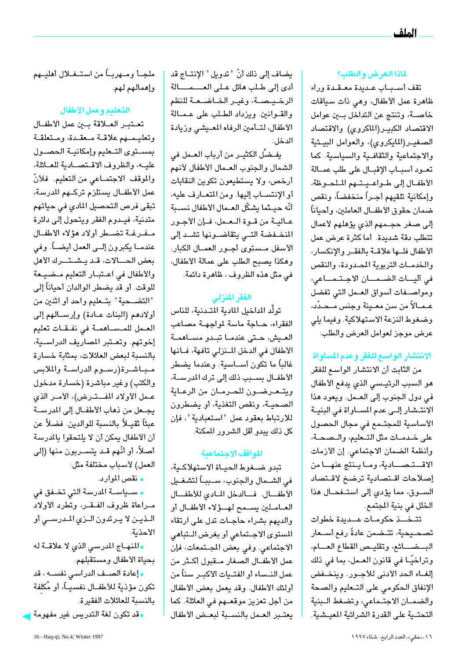#### لماذا العرض والطلب؟

تقف أسباب عديدة معقدة وراء ظاهرة عمل الأطفال، وهي ذات سياقات خاصـة، وتنتج عن التداخل بـين عوامل الاقتصاد الكبير(الماكروى) والاقتصاد الصغير (المايكروى)، والعوامل البيئية والاجتماعية والثقافية والسياسية. كما تعود أسباب الإقبال على طلب عمـالة الأطفال إلى طواعيتهم الملحوظة، وإمكانية تلقيهم أجـراً منخفضاً، ونقص ضمان حقوق الأطفــال العاملين، وأحياناً إلى صغر حجـمهم الذي يؤهلهم لأعمال تتطلب دقة شديدة. أما كثرة عرض عمل الأطفال فلها علاقة بالفقر والإنكسار، والخدميات التربوية المصدودة، والنقص في آليــات الضــمـــان الاجـتـمـــاعي، ومواصفات أسواق العمل التى تفضل عـمـالاً من سن معـينة وجنس مـحـدّد، وضغوط النزعة الاستهلاكية. وفيما يلي عرض موجز لعوامل العرض والطلب:

#### الانتشار الواسع للفقر وعدم المساواة

من الثابت أن الانتشار الواسع للفقر هو السبب الرئيسي الذي يدفع الأطفال في دول الجنوب إلى العمل. ويعود هذا الانتشار إلى عدم المساواة في البنية الأساسية للمجتمع في مجال الحصول على خـدمـات مثل التـعليم، والـصحـة، وأنظمة الضمان الاجتماعي. إن الأزمات الاقتصادية، وما ينتج عنها من إصلاحات اقتصادية ترضخ لاقتصاد السوق، مما يؤدى إلى استفحال هذا الخلل في بنية المجتمع.

تتخنذ حكومات عنديدة خطوات تصحـيحية، تتـضمن عادةً رفع أسـعار البخسائع، وتقليص القطاع العسام، وتراخيًا في قانون العمل، بما في ذلك إلغــاء الحد الأدنى للأجــور. وينخــفض الإنفاق الحكومي على التبعليم والصحة والضمان الاجتماعى، وتضغط البنية التحتـية على القدرة الشرائية المعيشية.

يضاف إلى ذلك أنّ " تدويل " الإنتــاج قد أدى إلى طلب هائل على العسمسالة الرخيصة، وغير الخاضعة للنظم والقـوانين. ويزداد الطـلب على عـمـالة الأطفال، لتأمين الرفاه المعيشى وزيادة الدخل.

يفضِّل الكثيـر من أرباب العـمل في الشمال والجنوب العـمال الأطفال لأنهم أرخص، ولا يستطيعون تكوين النقابات أو الإنتســاب إليها. ومن المتعــارف عليه، أنّه حيـثما يشكّل العـمال الأطفال نســبة عـاليــة من قــوة الــعــمل، فــإن الأجــور المنخفضة التى يتقاضىونها تشد إلى الأسفل مـستوى أجـور العمـال الكبار. وهكذا يصبح الطلب على عمالة الأطفال، في مثل هذه الظروف ، ظاهرة دائمة.

#### الفقر المنزلي

تولًّد المداخيل المادية المتـدنية، للناس الفقراء، حـاجة ماسة لمواجهـة مصاعب العيش، حتى عندما تبدو مساهمة الأطفال في الدخل المنزلي تافهة، فانها غالباً ما تكون أســاسية. وعندما يضطر الأطفــال بســبب ذلك إلى ترك المدرســة، ويتعرضون للحرمان من الرعاية الصحيـة، ونقص التغذية، أو يضطرون للارتباط بعقود عمل "استعبادية"، فإن كل ذلك يبدو أقل الشرور المكنة.

#### المواقف الاحتماعية

تبدو ضخوط الحياة الاستهلاكية، في الشـمال والجنوب، سـببـاً لتشغـيل الأطفال. فسالدخل المادي للأطفال العـامـلين يسـمح لهــؤلاء الأطفـال أو والديهم بشراء حاجات تدل على ارتقاء المستوى الاجتماعي أو بغرض التباهي الاجتماعي. وفي بعض المجتمعات، فإن عمل الأطفــال الصغار مــقبول أكــثر من عمل النــسـاء أو الفتــيات الأكبــر سـناً من أولئك الأطفال. وقد يعمل بعض الأطفال من أجل تعزيز موقعهم في العائلة. كما يعتبر العمل بالنسبة لبعض الأطفال

ملجــأ ومــهربــاً من استــغــلال أهليــهم وإهمالهم لهم.

#### التعليم وعمل الأطفال

تعتبر العلاقة بين عمل الأطفال وتعليمهم علاقة معقدة، ومتعلقة بمستوى التعليم وإمكانية الحصول عليه، والظروف الاقتصادية للعائلة، والموقف الاجتمـاعى من التعليم. فلأنّ عمل الأطفــال يستلزم تركــهم المدرسة، تبقى فرص التحصيل المادى في حياتهم متدنية، فيـدوم الفقر ويتحول إلى دائرة مفرغة تضطر أولاد هؤلاء الأطفال عندمــا يكبرون إلــى العمل أيضـــاً. وفي بعض الحالات، قد يشترك الأهل والأطفال في اعتبار التعليم مضيعة للوقت. أو قد يضطر الوالدان أحياناً إلى "التضحية" بتعليم واحد أو اثنين من أولادهم (البنات عـادة) وإرسـالهم إلى العمل للمساهمة فى نفقات تعليم إخوتهم. وتعتبر المصاريف الدراسية، بالنسبة لبعض العائلات، بمثابة خسارة مباشرة(رسوم الدراسة والملابس والكتب) وغير مباشرة (خسارة مدخول عـمل الأولاد المفــتـرض)، الأمـر الذي يجعل من ذهاب الأطفـال إلى المدرسـة عبئًا ثقيــلاً بالنسبة للوالدين. فضـلاً عن أن الأطفال يمكن أن لا يلتحقوا بالمدرسة أصلاً، أو أنّهم قـد يتســربون منها (إلى العمل) لأسباب مختلفة مثل:

### • نقص الموارد.

• ســياســة المدرسة التي تخــفق في مراعاة ظروف الفقر، وتطرد الأولاد اللذين لا يرتدون اللزي المدرسي أو الأحذبة.

والمنهاج المدرسى الذى لا علاقة له بحياة الأطفال ومستقبلهم.

وإعادة الصيف الدراسي نفسيه ، قد تكون مؤذية للأطفــال نفسـيــاً، أو مُكلفة بالنسبة للعائلات الفقيرة.

• قد تكون لغة التدريس غير مفهومة ل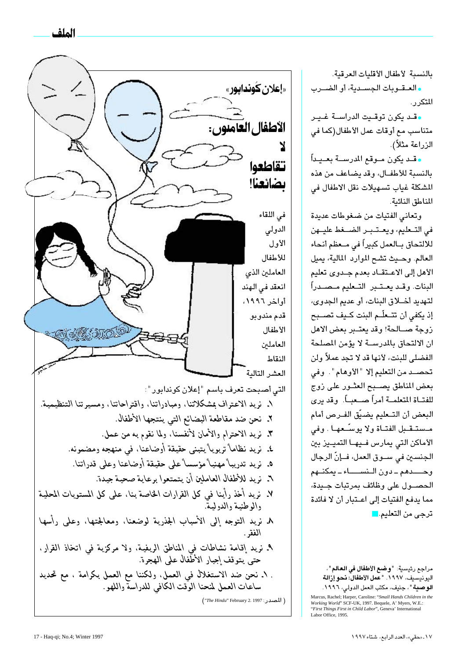الملف

بالنسبة لأطفال الأقليات العرقية.

والعقوبات الجسدية، أو الضوب التكر , .

وقد يكون توقيت الدراسة غير متناسب مع أوقات عمل الأطفال(كما في الزراعة مثلاً).

• قلد يكون ملوقع المدرسلة بعليداً بالنسبة للأطفال، وقد يضاعف من هذه المشكلة غياب تسهيلات نقل الاطفال في المناطق النائية.

وتعانى الفتيات من ضغوطات عديدة في التعليم، ويعتبر الضغط عليهن للالتحاق بــالعمل كبيراً في مــعظم أنحاء العالم. وحيث تشح الموارد المالية، يميل الأهل إلى الاعتقاد بعدم جدوى تعليم البنات. وقـد يعـتـبر التـعليم مـصـدراً لتهديد أخلاق البنات، أو عديم الجدوى، إذ يكفي أن تتـعلّـم البنت كـيف تصــبح زوجة صالحة! وقد يعتبر بعض الاهل ان الالتحاق بالمدرســة لا يؤمن المصلحة الفضلي للبنت، لأنها قد لا تجد عملاً ولن تحصـد من التعليم إلا "الأوهام". وفي بعض المناطق يصبح العثور على زوج للفتـاة المتعلمـة أمراً صــعبــاً. وقد يرى البعض أن التـعليم يضيّق الفـرص أمام مـستـقـبل الفتـاة ولا يوسـّـعهـا . وفى الأماكن التى يمارس فـيهـا التميـيز بين الجنسين في ســوق العمل، فــإنّ الرجال وحـــدهم ـ دون الـنســــاء ـ يمكنــهم الحصبول على وظائف بمرتبات جبيدة، مما يدفع الفتيات إلى اعتبار أن لا فائدة ترجى من التعليم. <mark>-</mark>

مراجع رئيسية: "وضع الأطفال في العالم"، اليونيسيف، ١٩٩٧. "عمل الأطفال: نحو إزالة الوصية "، جنيف، مكتب العمل الدولي، ١٩٩٦.

Marcus, Rachel; Harper, Caroline: "Small Hands Children in the Wartus, Kachel, Harper, Caroline. *Small Hands Children*<br>Working World' SCF-UK, 1997. Bequele, A' Myers, W.E.<br>"First Things First in Child Labor", Geneva' International Labor Office. 1995

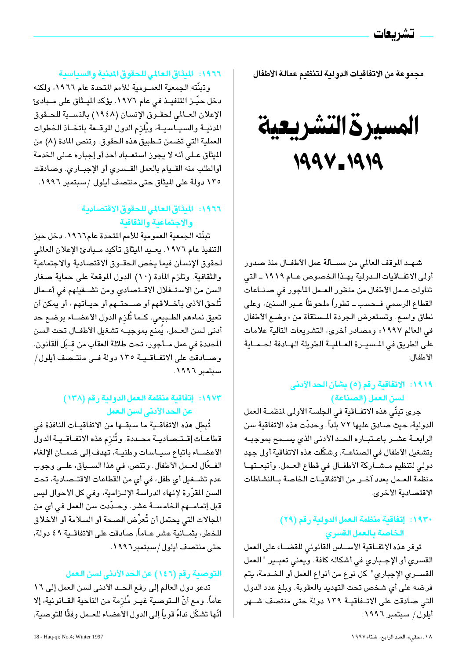مجموعة من الاتفاقيات الدولية لتنظيم عمالة الأطفال

المسيرة التشريعية 1994-1919

شهد الموقف العالمي من مسـألة عمل الأطفـال منذ صدور أولى الاتفاقيات الـدولية بهـذا الخصوص عـام ١٩١٩ ـ التى تناولت عـمل الأطفال من منظور العـمل المأجور في صنـاعات القطاع الرسمى فــحسب ــ تطوراً ملحوظاً عــبر السنين، وعلى نطاق واسع. وتستعرض الجردة المستقاة من «وضع الأطفال في العالم ١٩٩٧» ومصادر أخرى، التشريعات التالية علامات على الطريق في المسيـرة العـالميـة الطويلة الهـادفة لحـمـاية الأطفال:

#### ١٩١٩: الاتفاقية رقم (٥) بشأن الحد الأدنى لسن العمل (الصناعة)

جرى تبنِّي هذه الاتفــاقية في الجلسة الأولى لمنظمــة العمل الدولية، حيث صادق عليها ٧٢ بلداً. وحددّت هذه الاتفاقية سن الرابعة عشـر باعـتبـاره الحـد الأدنى الذى يسـمح بموجبـه بتشغيل الأطفال في الصناعــة. وشكّلت هذه الاتفاقية أول جهد دولي لتنظيم مشاركة الأطفال في قطاع العـمل. وأتبعـتهـا منظمة العـمل بعدد آخـر من الاتفاقيـات الخاصة بـالنشاطات الاقتصادية الأخرى.

#### ١٩٣٠: إتفاقية منظمة العمل الدولية رقم (٢٩) الخاصة بالعمل القسرى

توفر هذه الاتفاقية الأساس القانوني للقضاء على العمل القسرى أو الإجباري في أشكاله كافة. ويعني تعبير "العمل القسـرى الإجباري" كل نوع من أنواع العمل أو الخـدمة، يتم فرضه على أي شخص تحت التهديد بالعقوبة. وبلغ عدد الدول التي صادقت على الاتـفاقيـة ١٣٩ دولة حتى منتصف شــهر أيلول/ سبتمبر ١٩٩٦.

#### ١٩٦٦: الميثاق العالمي للحقوق المدنية والسياسية

وتبنِّته الجمعية العمــومية للأمم المتحدة عام ١٩٦٦، ولكنه دخل حيّىز التنفيــذ في عام ١٩٧٦. يؤكد الميــثاق على مــبادئ الإعلان العـالمي لحقـوق الإنسان (١٩٤٨) بالنسـبة للحـقوق المدنيــة والسيــاسيــة، ويُلزم الدول الموقــعة باتخــاذ الخطوات العملية التي تضمن تــطبيق هذه الـحقوق. وتنص المادة (٨) من الميثاق عـلى أنه لا يجوز استعـباد أحد أو إجباره عـلى الخدمة أوالطلب منه القيام بالعمل القسرى أو الإجبارى. وصادقت ١٣٥ دولة على الميثاق حتى منتصف أيلول /سبتمبر ١٩٩٦.

#### ١٩٦٦: الميثاق العالمي للحقوق الاقتصادية والاجتماعية والثقافية

تبنَّته الجمعية العمومية للأمم المتحدة عام١٩٦٦. دخل حيز التنفيذ عام ١٩٧٦. يعـيد الميثاق تأكيد مـبادئ الإعلان العالمي لحقوق الإنسان فيما يخص الحقـوق الاقتصادية والاجتماعية والثقافية. وتلزم المادة (١٠) الدول الموقعة على حماية صغار السن من الاستغلال الاقتصادي ومن تشغيلهم في أعمال تُلحق الأذى بأخــلاقهم أو صــحتــهم أو حيــاتهم ، أو يمكن أن تعيق نماءهم الطـبيعي. كـما تُلزم الدول الأعضــاء بوضـع حد أدنى لسن العــمل، يُمنـع بموجبــه تشـغيل الأطفــال تحت السن المحددة في عمل مــأجور، تحت طائلة العقاب من قــبَل القانون. وصادقت على الاتفاقية ١٣٥ دولة في منتصف أيلول/ سبتمبر ١٩٩٦.

#### ١٩٧٣: إتفاقية منظمة العمل الدولية رقم (١٣٨) عن الحد الأدني لسن العمل

تُبطل هذه الاتفاقــية ما سبقــها من الاتفاقيــات النافذة فى قطاعــات إقــتــصـاديــة محــددة. وتُلزم هذه الاتفــاقــيــة الدول الأعضــاء باتباع سيـاسات وطنيـة، تهدف إلى ضمـان الإلغاء الفـعّال لعــمل الأطفال. وتنص، في هذا الســياق، علــي وجوب عدم تشــغيل أي طفل، في أي من القطاعات الاقتــصـادية، تحت السن المقرَّرة لإنهاء الدراسة الإلـزامية، وفي كل الأحوال ليس قبل إتمامــهم الخامســة عشر. وحــدّدت سن العمل في أي من المجالات التي يحتمل أن تُعرِّض الصحة أو السلامة أو الأخلاق للخطر، بثمــانية عشر عــاماً. صـادقت على الاتفاقــية ٤٩ دولة، حتى منتصف أيلول/سبتمبر١٩٩٦.

#### التوصية رقم (١٤٦) عن الحد الأدنى لسن العمل

تدعو دول العالم إلى رفع الحد الأدنى لسن العمل إلى ١٦ عاماً. ومع أنّ الــتوصية غيــر مُلزمة من الناحية القــانونية، إلا أنَّها تشكَّل نداءً قوياً إلى الدول الأعضاء للعــمل وفقًا للتوصـية.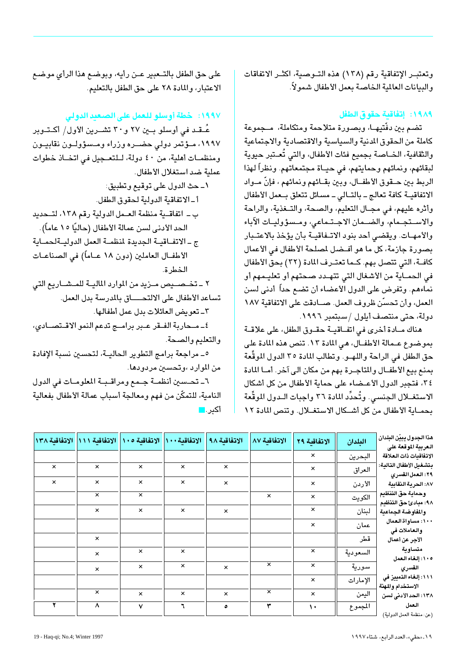وتعتبـر الإتفاقية رقم (١٣٨) هذه التـوصية، اكثـر الاتفاقات والبيانات العالمية الخاصة بعمل الأطفال شمولاً.

#### ١٩٨٩: إتفاقية حقوق الطفل

تضم بين دفّتيهــا، وبصورة متلاحمة ومتكاملة، مــجموعة كاملة من الحقوق المدنية والسياسية والاقتصادية والاجتماعية والثقافية، الخــاصـة بـجميع فئات الأطفال، والتي تُعــتبر حيوية لبقائهم، ونمائهم وحمايتهم، في حيــاة مجتمعاتهم. ونظراً لهذا الربط بين حــقوق الأطفــال، وبين بقــائهم ونمائهم ، فإنّ مــواد الاتفاقيـة كافة تعالج ـ بالتـالى ـ مسائل تتعلق بـعمل الأطفال وأثره عليهم، في مجـال التعليم، والصحة، والتـغذية، والراحة والاستجمام، والضحان الاجتماعي، ومسؤوليات الآباء والأمهـات. ويقضى أحد بنود الاتـفاقيـة بأن يؤخذ بالاعتـبار بصورة جازمة، كل ما هو أفـضل لمصلحة الأطفال في الأعمال كافة، التي تتصل بهم. كـما تعتـرف المادة (٣٢) بحق الأطفال في الحمـاية من الأشغال التي تتهـدد صـحتهم أو تعليـمهم أو نماءهم. وتفرض على الدول الأعضاء أن تضع حداً أدنى لسن العمل، وأن تحسَّن ظروف العمل. صــادقت على الاتفاقية ١٨٧ دولة، حتى منتصف أيلول /سبتمبر ١٩٩٦.

هناك مـادة أخرى في اتفـاقيــة حقــوق الطفل، على علاقــة بموضوع عـمالة الأطفــال، هي المادة ١٣. تنص هذه المادة على حق الطفل في الراحة واللهــو. وتطالب المادة ٣٥ الدول الموقِّعة بمنع بيع الأطفــال والمتاجــرة بهم من مكان الى آخر. أمــا المادة ٣٤، فتجبر الدول الأعـضـاء على حماية الأطفال من كل أشكال الاستغــلال الجنسي. وتُحدِّد المادة ٣٦ واجبات الــدول الموقَّعة بحمـاية الأطفال من كل أشـكال الاستغـلال. وتنص المادة ١٢

على حق الطفل بالتـعبير عـن رأيه، وبوضـع هذا الرأى موضـع الاعتبار، والمادة ٢٨ على حق الطفل بالتعليم.

#### ١٩٩٧: خطة أوسلو للعمل على الصعيد الدولي

عُـقـد في أوسلو بــين ٢٧ و٣٠ تشــرين الأول/ أكــتـوبر ۱۹۹۷، مـؤتمر دولی حضــره وزراء ومـسؤولـون نقابيـون ومنظمـات أهلية، من ٤٠ دولة، لـلتعـجيل في اتخـاذ خطوات عملية ضد استغلال الأطفال.

١ـ حث الدول على توقيع وتطبيق: أ-الاتفاقية الدولية لحقوق الطفل. ب ـ اتفاقـية منظمة العـمل الدولية رقم ١٣٨، لتـحديد الـحد الأدنـي لسـن عمالة الأطفال (حاليًا ١٥ عاماً). ج ـ الاتفـاقيــة الجديدة لمنظمــة العمل الدوليـةلحمـاية الأطفــال العاملين (دون ١٨ عــاماً) في الصناعــات الخطرة. ٢ ــ تخــصـــيص مــزيد من الموارد الماليــة للمــشـــاريـع التى تساعد الأطفال على الالتحـــاق بالمدرسة بدل العمل. ٣\_ تعويض العائلات بدل عمل أطفالها. ٤\_ مـحاربة الفــقر عــبر برامــج تدعم النمو الاقــتصــادى، والتعليم والصحة.

٥\_ مراجعة برامج التطوير الحاليــة، لتحسين نسبة الإفادة من الموارد ،وتحسين مردودها.

٦ـ تحسين أنظمــة جـمع ومراقـبـة المعلومـات في الدول النامية، للتمكّن من فهم ومعالجة أسباب عمالة الأطفال بفعالية أكبر .■

| الاتفاقية ١٠٠    الاتفاقية ١٠٥    الاتفاقية ١١١    الاتفاقية ١٣٨<br>الاتفاقىة ٩٨<br>الاتفاقية ٨٧<br>الاتفاقية ٢٩<br>البلدان<br>العربية الموقعة على<br>$\times$<br>البحرين<br>$\times$<br>$\times$<br>$\times$<br>$\times$<br>$\times$<br>$\times$<br>العراق<br>٢٩: العمل القسرى<br>$\times$<br>$\times$<br>$\times$<br>$\times$<br>$\boldsymbol{\times}$<br>الأردن<br>$\times$<br>وحماية حق التنظيم<br>$\boldsymbol{\times}$<br>$\times$<br>$\pmb{\times}$<br>$\times$<br>الكويت<br>٩٨: مبادئ حق التنظيم<br>$\times$<br>$\times$<br>$\times$<br>$\boldsymbol{\mathsf{x}}$<br>لبنان<br>$\times$<br>والمفاوضة الجماعية<br>×<br>عمان<br>والعاملات فى<br>قطر<br>$\times$<br>الأجر عن أعمال<br>متساوىة<br>$\times$<br>$\times$<br>$\times$<br>السعودية<br>$\times$<br>١٠٥: إلغاء العمل<br>$\times$<br>$\times$<br>$\times$<br>سورية<br>$\times$<br>$\boldsymbol{\times}$<br>القسرى<br>$\times$<br>$\times$ |                           |          |  |  |  |  |
|-------------------------------------------------------------------------------------------------------------------------------------------------------------------------------------------------------------------------------------------------------------------------------------------------------------------------------------------------------------------------------------------------------------------------------------------------------------------------------------------------------------------------------------------------------------------------------------------------------------------------------------------------------------------------------------------------------------------------------------------------------------------------------------------------------------------------------------------------------------------------------------------------------|---------------------------|----------|--|--|--|--|
|                                                                                                                                                                                                                                                                                                                                                                                                                                                                                                                                                                                                                                                                                                                                                                                                                                                                                                       | هذا الجدول يبيّن البلدان  |          |  |  |  |  |
|                                                                                                                                                                                                                                                                                                                                                                                                                                                                                                                                                                                                                                                                                                                                                                                                                                                                                                       | الاتفاقيات ذات العلاقة    |          |  |  |  |  |
|                                                                                                                                                                                                                                                                                                                                                                                                                                                                                                                                                                                                                                                                                                                                                                                                                                                                                                       | بتشغيل الأطفال التالية:   |          |  |  |  |  |
|                                                                                                                                                                                                                                                                                                                                                                                                                                                                                                                                                                                                                                                                                                                                                                                                                                                                                                       | ٨٧: الحرية النقابية       |          |  |  |  |  |
|                                                                                                                                                                                                                                                                                                                                                                                                                                                                                                                                                                                                                                                                                                                                                                                                                                                                                                       |                           |          |  |  |  |  |
|                                                                                                                                                                                                                                                                                                                                                                                                                                                                                                                                                                                                                                                                                                                                                                                                                                                                                                       |                           |          |  |  |  |  |
|                                                                                                                                                                                                                                                                                                                                                                                                                                                                                                                                                                                                                                                                                                                                                                                                                                                                                                       | ۱۰۰: مساواة العمال        |          |  |  |  |  |
|                                                                                                                                                                                                                                                                                                                                                                                                                                                                                                                                                                                                                                                                                                                                                                                                                                                                                                       |                           |          |  |  |  |  |
|                                                                                                                                                                                                                                                                                                                                                                                                                                                                                                                                                                                                                                                                                                                                                                                                                                                                                                       |                           |          |  |  |  |  |
|                                                                                                                                                                                                                                                                                                                                                                                                                                                                                                                                                                                                                                                                                                                                                                                                                                                                                                       |                           |          |  |  |  |  |
|                                                                                                                                                                                                                                                                                                                                                                                                                                                                                                                                                                                                                                                                                                                                                                                                                                                                                                       | ١١١١: إلغاء التمييز في    | الإمارات |  |  |  |  |
| الاستخدام والمهنة<br>$\overline{\mathsf{x}}$<br>$\boldsymbol{\times}$<br>$\times$<br>اليمن<br>$\times$<br>$\times$<br>$\times$                                                                                                                                                                                                                                                                                                                                                                                                                                                                                                                                                                                                                                                                                                                                                                        | ١٣٨: الحد الأدنى لسن      |          |  |  |  |  |
| العمل<br>$\lambda$<br>٣<br>V<br>$\mathbf{L}$<br>المجموع<br>$\lambda$<br>٥                                                                                                                                                                                                                                                                                                                                                                                                                                                                                                                                                                                                                                                                                                                                                                                                                             | (عن: منظمة العمل الدولية) |          |  |  |  |  |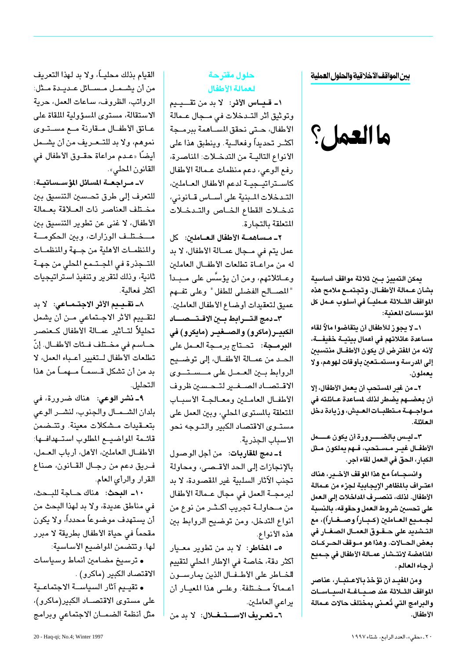بين المواقف الاخلاقية والحلول العملية

# ما العمل؟

يمكن التمييز بسن ثلاثة مواقف أساسية بشأن عـمالة الأطفــال. وتجتمــع ملامح هذه المواقف الشلاثة عـمليــاً في أسلوب عــمل كل المؤسسات المعنية:

١\_ لا يجوز للأطفال أن يتقاضوا مالاً لقاء مساعدة عائلاتهم في أعمال بيتيــة خفيفــة، لأنه من المفترض أن يكون الأطفــال منتسبين إلى المدرسة ومستمــتعين بأوقات لـهوهم، ولا يعملون.

٢\_ من غير المستحب أن يعمل الأطفال، إلا أن بعضـــهم يضطر لذلك لمساعدة عـــائلته في مــواجـــهـــة مــتطلبـــات الـعــيش، وزيادة دخل العائلة.

٣ـ ليــس بـالضــــــرورة أن يكون عـــــمل الأطفــال غيــر مــســتحب، فــهم يملكون مــثل الكبار، الحقِّ في العمل لقاء أجر.

وانسجــاماً مع هذا الموقف الأخــير، هناك اعتــراف بـالمظاهر الإيجـابية لجزء من عــمالة الأطفال. لذلك، تنصــرف المداخلات إلى الـعمل على تحسين شروط العمل وحقوقه، بالنسبة لجــمــيع الـعـــاملـيْن (كــبـــاراً وصـــغـــاراً)، مع التـــشديد على حـــقــوق الـعمـــال الصـغـــار فى بعض الحــالات. وهذا هو مــوقف الحــركــات المناهضة لانتـشار عمــالة الأطفال في جــميـع أرجاء العالم .

ومن المفيـد أن تؤخذ بالاعـتبــار، عناصر المواقف الثــلاثة عند صــيــاغــة السيــاســات والبرامج التى تُعـنى بمختلف حالات عـمالة الأطفال.

#### حلول مقترحة لعمالة الأطفال

١ـ قـبـاس الأثر: لا بد من تقــيـيم وتوثيق أثر التـدخلات في مـجال عـمالة الأطفال، حـتى نحقق المسـاهمة ببرمــجة أكثــر تحديداً وفعالــية. وينطبق هذا على الأنواع التالية من التدخلات: المناصرة، رفع الوعي، دعم منظمات عـمالة الأطفال كاســتراتيــجيــة لدعم الأطفال العــاملين، التدخلات المبنية على أساس قـانونى، تدخلات القطاع الخـاص والتـدخـلات المتعلقة بالتجارة.

٢\_ مـساهمــة الأطفال العــاملين: كل عمل يتم في مـجال عمـالة الأطفال، لا بد له من مراعـاة تطلعات الأطفـال العاملين وعــائلاتهم، ومن أن يؤسَّس على مــبـدأ "المصـالح الفضلي للطفل" وعلى تفـهم عميق لتعقيدات أوضاع الأطفال العاملين.

٣- دمج التسرابط بين الاقتصصاد الكبيـر(ماكرو) والصــغيـر (مايكرو) في البرمجة: تحتاج برمجة العمل على الحد من عمـالة الأطفـال، إلى توضـيح الروابط بين العمل على مسستوى الاقتصاد الصغير لتحسبن ظروف الأطفال العاملين ومعالجة الأسباب المتعلقة بالمستوى المحلى، وبين العمل على مستـوى الاقتصاد الكبير والتـوجه نحو الأسباب الجذرية.

٤ـ دمج المقاربات: من أجل الوصول بالإنجازات إلى الحد الأقـصي، ومحاولة تجنب الآثار السلبية غير المقصودة، لا بد لبرمجــة العمل في مجال عــمالة الأطفال من مـحاولــة تجريب أكـثـر من نوع من أنواع التدخل، ومن توضيح الروابط بين هذه الأنواع.

٥\_ المخاطر: لا بد من تطوير معـيار أكثر دقة، خاصة في الإطار المحلي لتقييم للخاطر على الأطفال الذين يمارسون أعـمالاً مـخـتلفة. وعلــى هذا المعيــار أن يراعى العاملين.

٦- تعريف الاســتـغــلال: لا بد من

القيام بذلك محليــاً، ولا بد لهذا التعريف من أن يشــمـل مــســـائل عــديــدة مــثل: الرواتب، الظروف، ساعات العمل، حرية الاستقالة، مستوى المسؤولية الملقاة على عانق الأطفال مقارنة مع مستوى نموهم، ولا بد للتحريف من أن يشمل أيضًا «عـدم مراعاة حقــوق الأطفال في القانون المحلي».

٧ـ مـراجعــة المسائل المؤســساتيــة: للتعرف إلى طرق تحسين التنسيق بين مختلف العناصر ذات العلاقة بعمالة الأطفال، لا غني عن تطوير التنسيق بين مسختلف الوزارات، وبين الحكومسة والمنظمـات الأهلية من جـهة والمنظمـات المتجذرة في المجتمع المطي من جهة ثانية، وذلك لتقرير وتنفيذ استراتيجيات أكثر فعالية.

٨- تقـيـيم الأثر الاجتــمــاعى: لا بد لتقـييم الأثر الاجـتماعي مـن أن يشمل تحليلاً لتــأثير عمــالة الأطفال كــعنصر حــاسـم في مخــتلف فــئات الأطفــال. إنّ تطلعات الأطفال لتغيير أعباء العمل، لا بد من أن تشكل قــسمــاً مــهمــاً من هذا التحليل.

٩ـ نشر الوعى: هناك ضرورة، فى بلدان الشهمال والجنوب، لنشس الوعى بتعـقيدات مـشكلات معينة. وتتـضمن قائحة المواضيع المطلوب استهدافها: الأطفال العاملين، الأهل، أرباب العمل، فريق دعم من رجـال القـانون، صناع القرار والرأى العام.

١٠- البحث: هناك حـاجة للبـحث، في مناطق عديدة، ولا بد لهذا البحث من أن يستهدف موضوعاً محدداً، ولا يكون مقحماً في حياة الأطفال بطريقة لا مبرر لها. وتتضمن المواضيع الأساسية:

• ترسيخ مضامين أنماط وسياسات الاقتصاد الكبير (ماكرو) .

• تقييم آثار السياسـة الاجتماعـية على مستوى الاقتصــاد الكبير(ماكرو)، مثل أنظمة الضمان الاجتماعي وبرامج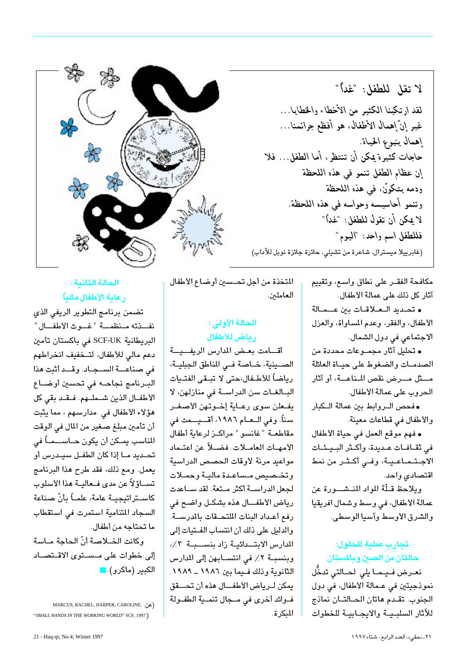لا تقل للطفل: "غداً" لقد ارتكبنا الكثير من الأخطاء والخطايا… غير إنّ إهمال الأطفال. هو أفظع جرائمنا… إهمال ينبوع الحياة. حاجات كثيَّرة يمكن أن تنتظر، أما الطفل... فلا إن عظام الطفل تنمو في هذه اللحظة ودمه يتكوَّن، في هذه اللحظة وتنمو أحاسيسه وحواسه في هذه اللحظة. لا يمكن أن تقول للطفل: "غداً" فللطفل اسم واحد: "اليوم" (غابرييلا ميسترال، شاعرة من تشيلي، حائزة جائزة نوبل للآداب)



• تحديد العلاقات بين عــمـالة الأطفال، والفقر، وعدم المساواة، والعزل الاجتماعی فی دول الشمال.

• تحليل آثار مجموعات محددة من الصدمات والضغوط على حياة العائلة مستْل مسرض نقص المناعسة، أو آثار الحروب على عمالة الأطفال.

• فحص الروابط بين عمالة الكبار والأطفال في قطاعات معينة.

• فهم موقع العمل في حياة الأطفال فى ثقافات عديدة، وأكثر البيئات الاجتماعية، وفي أكثر من نمط اقتصادي واحد.

ويلاحظ قلّة المواد المنشسورة عن عمالة الأطفال، في وسط وشمال افريقيا والشرق الأوسط وآسيا الوسطى.

تحارب عملية للحلول: حالتان من الصين وباكستان

نعرض فيما يلي لحالتى تدخُّل نموذجيتين في عـمالة الأطفال، في دول الجنوب. تقدم هاتان الحـالتـان نماذج للآثار السلسية والايحيانية للخطوات

المتخذة من أجل تحسين أوضاع الأطفال العاملين.

#### الحالة الأولى : رياض للأطفال

أقامت بعض المدارس الريفيية الصــينية، خــاصة فــى المناطق الجبليــة، رياضاً للأطـفال،حتى لا تبــقى الفتــيات البـالغـات سن الدراسـة في منازلهن، لا يفعلن سوى رعاية إخوتهن الأصغر سناً. وفي الـعـام ١٩٨٦، أقـــيـــمت في مقاطعة "غانسو" مراكز لرعاية أطفال الأمهـات العامــلات. فضــلاً عن اعتـماد مواعيد مرنة لأوقات الحصص الدراسية وتخصيص مساعدة مالية وحملات لجعل الدراســة أكثر مـتعة. لقد ســاعدت رياض الأطفــال هذه بشكـل واضح في رفع أعداد البنات الملتحقات بالمدرسة. والدليل على ذلك أن انتساب الفـتيات إلى المدارس الابتعائية زاد بنسبية ٢٪، وبنسبة ٢٪ في انتسـابهن إلى المدارس الثانوية وذلك فيما بين ١٩٨٦ ـ ١٩٨٩. يمكن لـرياض الأطفــال هذه أن تحــقق فــوائد أخرى في مــجال تنمــية الطفــولة المكرة.



#### الحالة الثانية: رعاية الأطفال مالياً

تضمن برنامج التطوير الريفي الذي نفــذته مـنظمـــة "غـــوث الأطفـــال" البريطانية SCF-UK في باكستان تأمين دعم مالي للأطفال، لتـخفيف انخراطهم في صناعــة السـجـاد. وقــد أثبت هذا البرنامج نجاحه في تحسين أوضــاع الأطفــال الذين شــملــهم. فــقــد بقى كل هؤلاء الأطفال في مدارسهم ، مما يثبت أن تأمين مبلغ صغير من المال في الوقت المناسب يمــكن أن يكون حــاســــمــاً في تحـديد مــا إذا كان الطفــل سـيــدرس أو يعمل. ومع ذلك، فقد طرح هذا البرنامج تســاؤلاً عن مدى فــعاليــة هذا الأسلوب كاســتراتيجيــة عامة، علمــاً بأنّ صناعة السجاد المتنامية استمرت في استقطاب ما تحتاجه من أطفال.

وكانت الخلاصة أنّ الحاجة مـاسة إلى خطوات على مـسـتوى الاقـتصــاد الكبير (ماكرو). <mark>-</mark>

MARCUS, RACHEL, HARPER, CAROLINE. : (عن "SMALL HANDS IN THE WORKING WORLD" SCF, 1997.)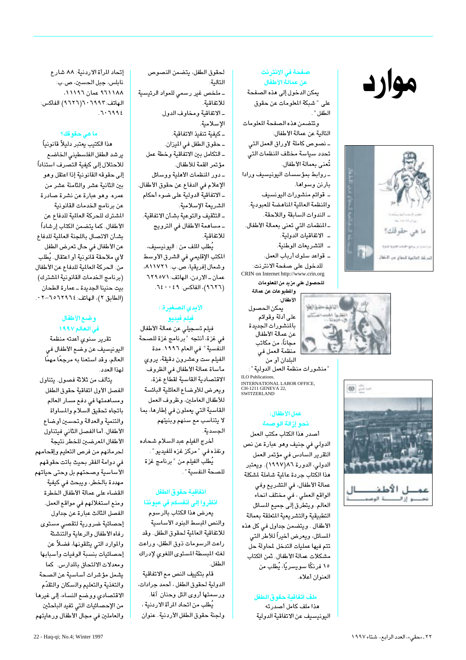# موارد







#### صفحة في الانترنت عن عمالة الأطفال

يمكن الدخول إلى هذه الصفحة على "شبكة المعلومات عن حقوق الطفل "

وتتضمن هذه الصفحة المعلومات التالية عن عمالة الأطفال: ـ نصوص كاملة لأوراق العمل التى تحدد سياسة مختلف المنظمات التى تُعنى بعمالة الأطفال.

- روابط بمؤسسات اليونيسيف ورادا بارنن وسواها.

ـ قوائم منشورات اليونسيف

والمنظمة العالمية المناهضة للعبودية.

ـ الندوات السابقة واللاحقة.

ـ المنظمات التى تعنى بعمالة الأطفال.

- \_ الاتفاقيات الدولية.
- \_ التشريعات الوطنية. ـ قواعد سلوك أرباب العمل.
- للدخول على صفحة الانترنت: CRIN on Internet http://www.crin.org

للحصول على مزيد من المعلومات والمطبوعات عن عمالة

الأطفال: يمكن الحصول على أدلة وقوائم بالمنشورات الجديدة عن عمالة الأطفال مجاناً، من مكاتب منظمة العمل في البلدان أو من

" منشورات منظمة العمل الدولية " : ILO Publications INTERNATIONAL LABOR OFFICE, CH-1211 GENEVA 22,<br>SWITZERLAND

#### عمل الأطفال: نحو إزالة الوصمة

أصدر هذا الكتاب مكتب العمل الدولي في جنيف وهو عبارة عن نص التقرير السادس فى مؤتمر العمل الدولى، الدورة ٨٦(١٩٩٧). ويعتبر هذا الكتاب جردة عالمية شاملة لمشكلة عمالة الأطفال، في التشريع وفي الواقع العملي ، في مختلف انحاء العالم. ويتطرق إلى جميع المسائل التطبيقية والتشريعية المتعلقة بعمالة الأطفال . ويتضمن جداول في كل هذه المسائل، ويعرض أخيراً للأطر التي تتم فيها عمليات التدخل لمحاولة حل مشكلات عمالة الأطفال. ثمن الكتاب ١٥ فرنگًا سويسريًّا، يُطلب من العنوان أعلاه.

#### ملف اتفاقية حقوق الطفل

هذا ملف كامل أصدرته اليونيسيف عن الاتفاقية الدولية

لحقوق الطفل، يتضمن النصوص التالية: ـ ملخص غير رسمى للمواد الرئيسية للاتفاقية. ـ الاتفاقية ومخاوف الدول الإسلامية. ـ كىفىة تنفىذ الاتفاقية. ـ حقوق الطفل في الميزان. ـ التكامل بين الاتفاقية وخطة عمل مؤتمر القمة للأطفال. - دور المنظمات الأهلية ووسائل الإعلام في الدفاع عن حقوق الأطفال. ـ الاتفاقية الدولية على ضوء أحكام الشريعة الإسلامية. ـ التثقيف والتوعية بشأن الاتفاقية. ـ مساهمة الأطفال فى الترويج للاتفاقية. يُطلب الملف من : اليونيسيف،

المكتب الإقليمي في الشرق الأوسط وشمال إفريقيا، ص.ب: ٨١١٧٢١، عمان-الاردن، الهاتف: ٦٢٩٥٧١ (٩٦٢٦)، الفاكس: ٤٩٠٠٤٩.

#### الأيدي الصغيرة : فيلم فيديو

فيلم تسجيلي عن عمالة الأطفال في غزة، أنتجه "برنامج غزة للصحة النفسية" في العام ١٩٩٦. مدة الفيلم ست وعشرون دقيقة، يروي مأساة عمالة الأطفال فى الظروف الاقتصادية القاسية لقطاع غزة، ويعرض للأوضاع العائلية البائسة للأطفال العاملين، وظروف العمل القاسية التي يعملون في إطارها، بما لا يتناسب مع سنهم وبنيتهم الجسدية.

أخرج الفيلم عبد السلام شحاده ونفذه في "مركز غزه للفيديو". يُطلب الفيلم من " برنامج غزة للصحة النفسية ".

#### اتفاقية حقوق الطفل انظروا إلى أنفسكم في عيوننا

يعرض هذا الكتاب بالرسوم والنص المبسط البنود الأساسية للاتفاقية العالمية لحقوق الطفل. وقد راعت الرسومات ذوق الطفل، وراعت لغته المبسطة المستوى اللغوى لإدراك الطفل.

قام بتكييف النص مع الاتفاقية الدولية لحقوق الطفل ، أحمد جرادات، ورسمتها أروى التل وحنان آغا. يُطلب من اتحاد المرأة الاردنية ، ولجنة حقوق الطفل الأردنية. عنوان

إتحاد المرأة الاردنية: ٨٨ شارع نابلس، جبل الحسين، ص.ب: ٨١١١٨٨ عمان ١١١٩٦، الهاتف: ٢٩٩٢ - ٦ (٢٦٢٦) الفاكس:  $.7.7992$ 

#### ما هي حقوقك؟

هذا الكتيب يعتبر دليلأ قانونياً يرشد الطفل الفلسطينى الخاضع للاحتلال إلى كيفية التصرف استناداً إلى حقوقه القانونية إذا اعتقل وهو بين الثانية عشر والثامنة عشر من عمره. وهو عبارة عن نشرة صادرة عن برنامج الخدمات القانونية الشترك للحركة العالمية للدفاع عن الأطفال. كما يتضمن الكتاب إرشاداً بشأن الاتصال باللجنة العالمية للدفاع عن الأطفال في حال تعرض الطفل لأى ملاحقة قانونية أو اعتقال. يُطلب من: الحركة العالمية للدفاع عن الأطفال (برنامج الخدمات القانونية المشترك) بيت حنينا الجديدة ـ عمارة الطحان (الطابق ٢)، الهاتف: ٢٩٢٤٦٥٦-٢٠٢.

#### وضع الأطفال في العالم ١٩٩٧

تقرير سنوى أعدته منظمة اليونيسيف عن وضع الأطفال في العالم، وقد استعنا به مرجعًا مهمًا لهذا العدد.

يتألف من ثلاثة فصول. يتناول الفصل الأول اتفاقية حقوق الطفل ومساهمتها فى دفع مسار العالم باتجاه تحقيق السلام والمساواة والتنمية والعدالة وتحسين أوضاع الأطفال. أما الفصل الثاني فيتناول الأطفال المعرضين للخطر نتيجة لحرمانهم من فرص التعليم وإقحامهم في دوامة الفقر بحيث باتت حقوقهم الأساسية وصحتهم بل وحتى حياتهم مهددة بالخطر، ويبحث في كيفية القضاء على عمالة الأطفال الخطرة ومنع استغلالهم في مواقع العمل. الفصل الثالث عبارة عن جداول إحصائية ضرورية لتقصي مستوى رفاه الأطفال والرعاية والتنشئة والموارد التى يتلقونها، فضلاً عن إحصائيات بنسبة الوفيات وأسبابها ومعدلات الالتحاق بالمدارس. كما يشمل مؤشرات أساسية عن الصحة والتغذية والتعليم والسكان والتقدّم الاقتصادى ووضع النساء، إلى غيرها من الإحصائيات التي تفيد الباحثين والعاملين فى مجال الأطفال ورعايتهم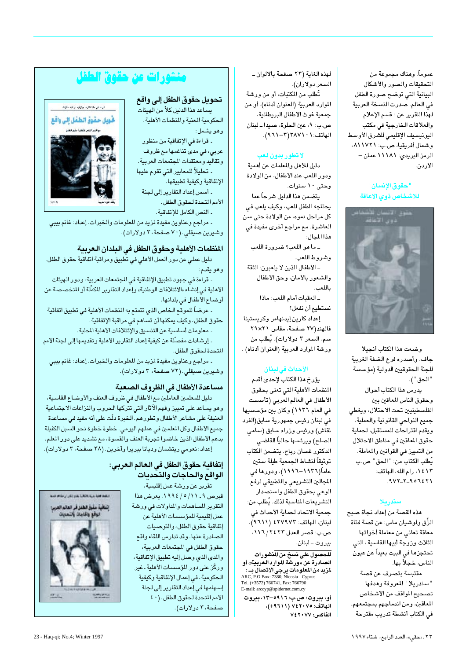عموماً. وهناك مجموعة من التحقيقات والصور والأشكال البيانية التى توضح صورة الطفل في العالم. صدرت النسخة العربية لهذا التقرير عن : قسم الإعلام والعلاقات الخارجية في مكتب اليونيسيف الإقليمى للشرق الأوسط وشمال أفريقيا، ص.ب: ٨١١٧٢١، الرمز البري*دي: ۱۱۱۸۸* عمان – الأردن.

#### "حقوق الإنسان " للاشخاص ذوي الإعاقة



وضعت هذا الكتاب أنجيلا جاف، وأصدره فرع الضفة الغربية للجنة الحقوقيين الدولية (مؤسسة " الحق " ). يدرس هذا الكتاب أحوال وحقوق الناس المعاقين بين الفلسطينيين تحت الاحتلال، ويغطى جميع النواحي القانونية والعملية، ويقدم اقتراحات للمستقبل، لحماية حقوق المعاقين في مناطق الاحتلال من التمييز في القوانين والمعاملة. يُطلب الكتاب من: "الحق" ص.ب

١٤١٣، رام الله، الهاتف:  $.9VY_Y - 9075Y$ 

#### سندريلا

هذه القصة من إعداد نجاة صبح الزِّق ولوشيان ماس: عن قصة فتاة معاقة تعانى من معاملة أخواتها الثلاث وزوجة أبيها القاسية ، التى تحتجزها في البيت بعيداً عن عيون الناس، خجلاً بها. مقتبسة بتصرف عن قصة

"سندريلا" المعروفة وهدفها تصحيح المواقف من الأشخاص المعاقين، ومن اندماجهم بمجتمعهم. فى الكتاب أنشطة تدريب مقترحة

لهذه الغاية (٢٣ صفحة بالالوان ـ السعر دولاران). تُطلب من المكتبات، أو من ورشة الموارد العربية (العنوان أدناه). أو من جمعية غوث الأطفال البريطانية، ص.ب: ٩، عين الحلوة، صيدا ــ لبنان الهاتف: ١ ٠ ٢ ٢٨٧١ (٣ - ٢١٦١).

#### لا تطور بدون لعب

دليل للأهل والمعلمات عن أهمية ودور اللعب عند الأطفال، من الولادة وحتى ١٠ سنوات. يتضمن هذا الدليل شرحاً عما يحتاجه الطفل للعب، وكيف يلعب في كل مراحل نموه، من الولادة حتى سن العاشرة. مع مراجع أخرى مفيدة في هذا المجال:

ـ ما هو اللعب؟ ضرورة اللعب وشروط اللعب. ـ الأطفال الذين لا يلعبون: الثقة

والشعور بالأمان، وحق الأطفال ىاللعب.

ـ العقبات أمام اللعب: ماذا نستطيع أن نفعل؟ إعداد كارين إيدنهامر وكريستينا فالهند(۲۷ صفحة، مقاس ۲۹×۲۹ سـم، السـعر ٣ دولارات). يُطلب من ورشة الموارد العربية (العنوان أدناه) .

#### الأحداث في لبنان

يؤرخ هذا الكتاب لإحدى أقدم المنظمات الأهلية التي تعنى بحقوق الأطفال في العالم العربي (تأسست في العام ١٩٣٦) وكان بين مؤسسيها في لبنان رئيس جمهورية سابق(الفرد نقاش) ورئيس وزراء سابق (سامي الصلح) ويرئسها حالياً القاضى الدكتور غسان رباح. يتضمن الكتاب توثيقاً لنشاط الجمعية طيلة ستين عاماً(۱۹۳٦–۱۹۹۲)، ودورها فی المجالين التشريعي والتطبيقي لرفع الوعى بحقوق الطفل واستصدار التشريعات المناسبة لذلك. يُطلب من: جمعية الاتحاد لحماية الأحداث في لبنان، الهاتف: ٢٧٩٧٢ ٤ (٢٦١١)، ص.ب: قصر العدل ٢٤٢٣/ ١١٦، بيروت \_ لبنان.

للحصول على نسخ من المنشورات الصادرة عن «ورشة الموارد العربية» أو ب<br>**لمزيد من المعلومات يرجى الاتصال بــ :**<br>ARC, P.O.Box: 7380, Nicosia - Cyprus Tel. (+3572) 766741, Fax: 766790 E-mail: arccyp@spidernet.com.cy

أو، بيروت: ص.ب: ٩٩١٦-١٣- بيروت الهاتف: ٧٤٢٠٧٥ (١٩٦١١)، الفاكس: ٧٧ ٢٠٢٤

# منشورات عن حقوق الطفل

تحويل حقوق الطفل إلى واقع يساعد هذا الدليل كلاً من الهيئات

الحكومية المعنية والمنظمات الأهلية. وهو يشمل: - قراءة في الإتفاقية من منظور

عربی، فی مدی تناغمها مع ظروف وتقاليد ومعتقدات المجتمعات العربية. ۔ تحليلاً للمعايير التي تقوم عليها الإتفاقية وكيفية تطبيقها. - أسس إعداد التقارير إلى لجنة

الأمم المتحدة لحقوق الطفل. - النص الكامل للإتفاقية.



ـ مراجع وعناوين مفيدة لمزيد من المعلومات والخبرات. إعداد: غانم بيبي وشيرين صيقلي. (٧٠ صفحة، ٣ دولارات).

#### المنظمات الأهلية وحقوق الطفل في البلدان العربية

دليل عملي عن دور العمل الأهلي في تطبيق ومراقبة اتفاقية حقوق الطفل. وهو يقدم:

- قراءة في جهود تطبيق الإتفاقية في المجتمعات العربية، ودور الهيئات الأهلية في إنشاء «الائتلافات الوطنية» وإعداد التقارير المكمِّلة أو المتخصصة عن أوضاع الأطفال في بلدانها.

۔ عرضاً للموقع الخاص الذي تتمتع به المنظمات الأهلية في تطبيق اتفاقية حقوق الطفل، وكيف يمكنها أن تساهم في مراقبة الإتفاقية.

- معلومات أساسية عن التنسيق والإئتلافات الأهلية المحلية.

- إرشادات مفصَّلة عن كيفية إعداد التقارير الأهلية وتقديمها إلى لجنة الأمم المتحدة لحقوق الطفل.

- مراجع وعناوين مفيدة لمزيد من المعلومات والخبرات. إعداد: غانم بيبي وشيرين صيقلي. (٧٢ صفحة، ٣ دولارات).

#### مساعدة الأطفال في الظروف الصعبة

دليل للمعلمين العاملين مع الأطفال في ظروف العنف والأوضاع القاسية، وهو يساعد على تمييز وفهم الآثار التي تتركها الحروب والنزاعات الاجتماعية العنيفة على مشاعر الأطفال وتطورهم. الخبرة دلّت على أنه مفيد في مساعدة جميع الأطفال وكل المعلمين في عملهم اليومي . خطوة خطوة نحو السـبل الكفيلة بدعم الأطفال الذين خاضوا تجربة العنف والقسوة، مع تشديد على دور المعلم. إعداد: نعومي ريتشمان وديانا بيريرا وآخرين. (٣٨ صفحة، ٣ دولارات).

#### إتفاقية حقوق الطفل في الـعـالم الـعربي: الواقع والحاجات والتحديات

تقرير عن ورشة عمل إقليمية، قبرص ٩ ـ ١٩/٥/١٩٩٤. يعرض هذا التقرير المساهمات والمداولات فى ورشة عمل إقليمية للمؤسسات الأهلية عن إتفاقية حقوق الطفل، والتوصيات الصادرة عنها. وقد تدارس اللقاء واقع حقوق الطفل فى المجتمعات العربية، والمدى الذى وصل إليه تطبيق الإتفاقية، وركَّرْ على دور المؤسسات الأهلية ـ غير الحكومية ـ في إعمال الإتفاقية وكيفية إسهامها فى إعداد التقارير إلى لجنة الأمم المتحدة لحقوق الطفل. (٤٠ صفحة، ٣ دولارات).